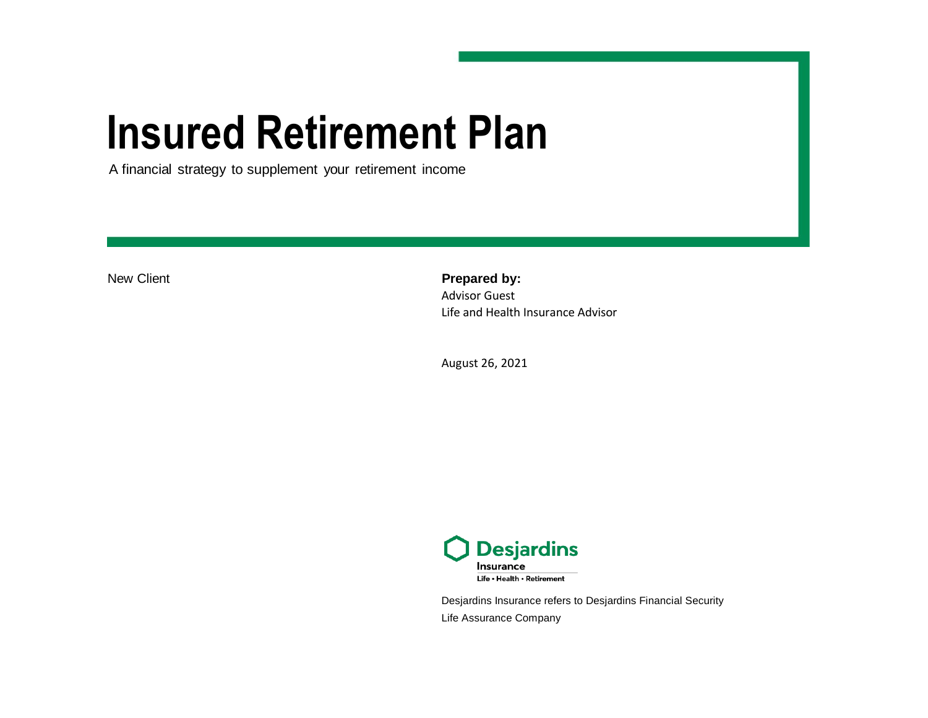# **Insured Retirement Plan**

A financial strategy to supplement your retirement income

New Client **Prepared by:** Advisor Guest Life and Health Insurance Advisor

August 26, 2021



Desjardins Insurance refers to Desjardins Financial Security Life Assurance Company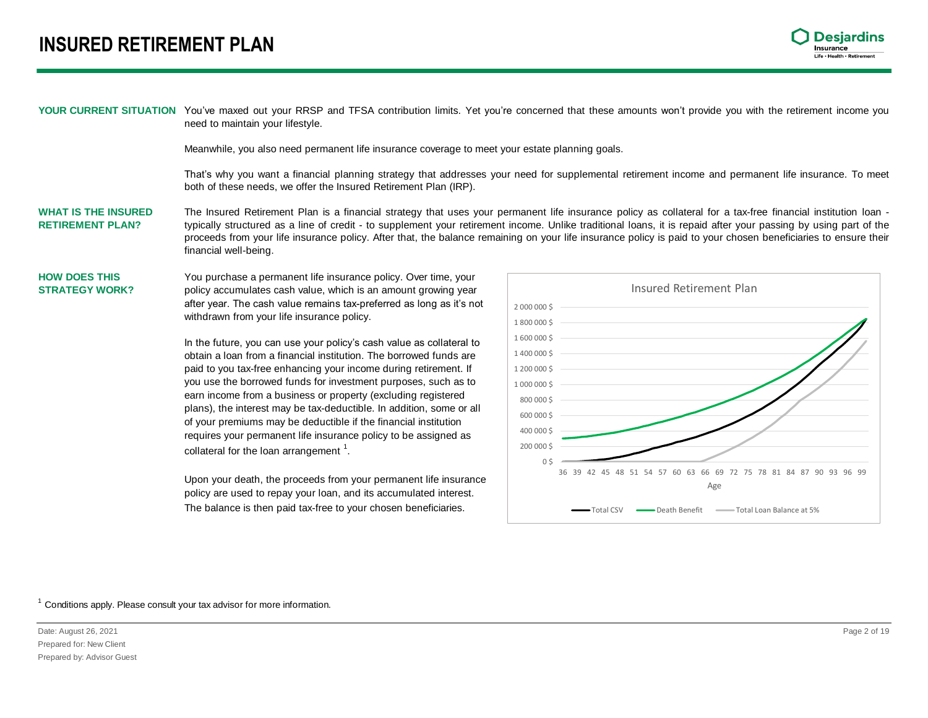### **INSURED RETIREMENT PLAN**



YOUR CURRENT SITUATION You've maxed out your RRSP and TFSA contribution limits. Yet you're concerned that these amounts won't provide you with the retirement income you need to maintain your lifestyle.

Meanwhile, you also need permanent life insurance coverage to meet your estate planning goals.

That's why you want a financial planning strategy that addresses your need for supplemental retirement income and permanent life insurance. To meet both of these needs, we offer the Insured Retirement Plan (IRP).

**WHAT IS THE INSURED RETIREMENT PLAN?** The Insured Retirement Plan is a financial strategy that uses your permanent life insurance policy as collateral for a tax-free financial institution Ioan typically structured as a line of credit - to supplement your retirement income. Unlike traditional loans, it is repaid after your passing by using part of the proceeds from your life insurance policy. After that, the balance remaining on your life insurance policy is paid to your chosen beneficiaries to ensure their financial well-being.

#### **HOW DOES THIS STRATEGY WORK?** You purchase a permanent life insurance policy. Over time, your policy accumulates cash value, which is an amount growing year after year. The cash value remains tax-preferred as long as it's not withdrawn from your life insurance policy.

In the future, you can use your policy's cash value as collateral to obtain a loan from a financial institution. The borrowed funds are paid to you tax-free enhancing your income during retirement. If you use the borrowed funds for investment purposes, such as to earn income from a business or property (excluding registered plans), the interest may be tax-deductible. In addition, some or all of your premiums may be deductible if the financial institution requires your permanent life insurance policy to be assigned as collateral for the loan arrangement  $<sup>1</sup>$ .</sup>

Upon your death, the proceeds from your permanent life insurance policy are used to repay your loan, and its accumulated interest. The balance is then paid tax-free to your chosen beneficiaries.



 $1$  Conditions apply. Please consult your tax advisor for more information.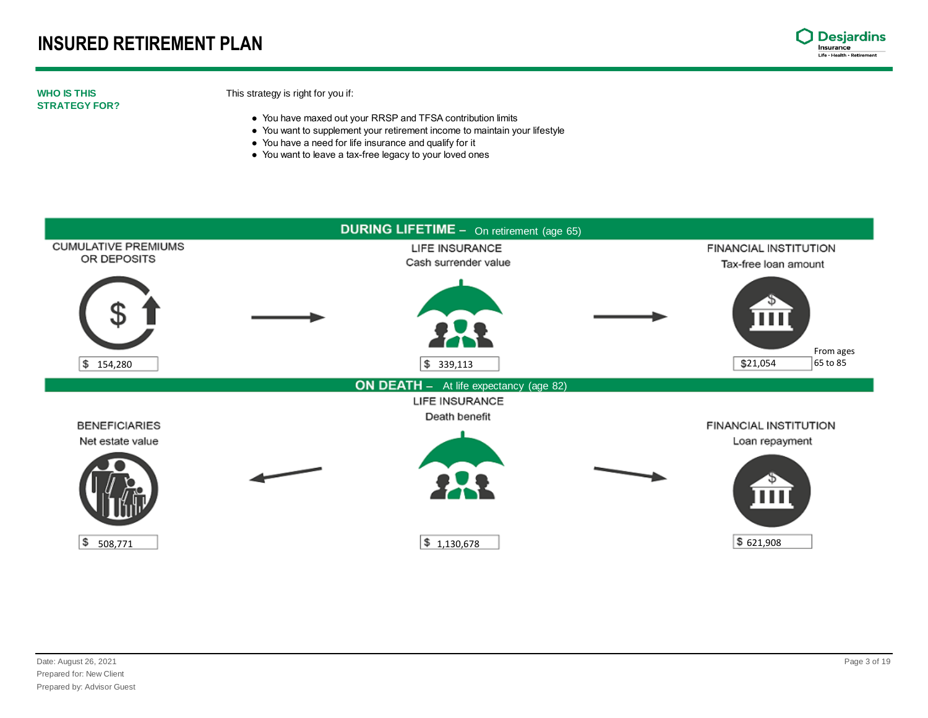

#### **WHO IS THIS STRATEGY FOR?**

#### This strategy is right for you if:

- You have maxed out your RRSP and TFSA contribution limits
- You want to supplement your retirement income to maintain your lifestyle
- You have a need for life insurance and qualify for it
- You want to leave a tax-free legacy to your loved ones

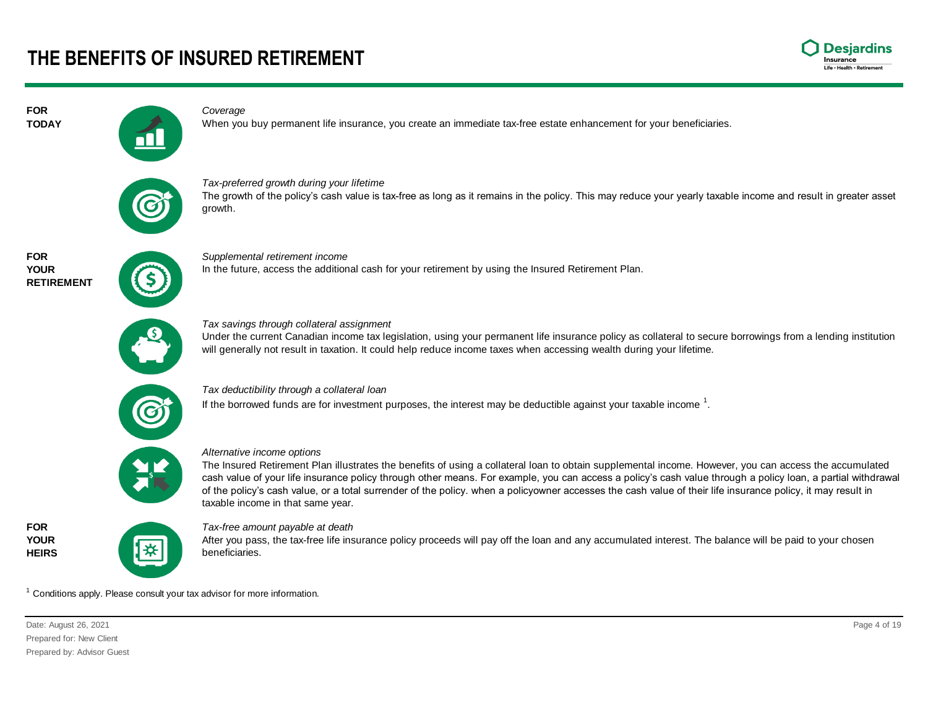

#### *Coverage*



When you buy permanent life insurance, you create an immediate tax-free estate enhancement for your beneficiaries.



*Tax-preferred growth during your lifetime*  The growth of the policy's cash value is tax-free as long as it remains in the policy. This may reduce your yearly taxable income and result in greater asset growth.



**FOR TODAY**

> *Supplemental retirement income* In the future, access the additional cash for your retirement by using the Insured Retirement Plan.



*Tax savings through collateral assignment* 

Under the current Canadian income tax legislation, using your permanent life insurance policy as collateral to secure borrowings from a lending institution will generally not result in taxation. It could help reduce income taxes when accessing wealth during your lifetime.

*Tax deductibility through a collateral loan*

If the borrowed funds are for investment purposes, the interest may be deductible against your taxable income  $^1$ .



*Alternative income options*

The Insured Retirement Plan illustrates the benefits of using a collateral loan to obtain supplemental income. However, you can access the accumulated cash value of your life insurance policy through other means. For example, you can access a policy's cash value through a policy loan, a partial withdrawal of the policy's cash value, or a total surrender of the policy. when a policyowner accesses the cash value of their life insurance policy, it may result in taxable income in that same year.



*Tax-free amount payable at death* 

After you pass, the tax-free life insurance policy proceeds will pay off the loan and any accumulated interest. The balance will be paid to your chosen beneficiaries.

 $1$  Conditions apply. Please consult your tax advisor for more information.

Date: August 26, 2021 Page 4 of 19 Prepared for: New Client Prepared by: Advisor Guest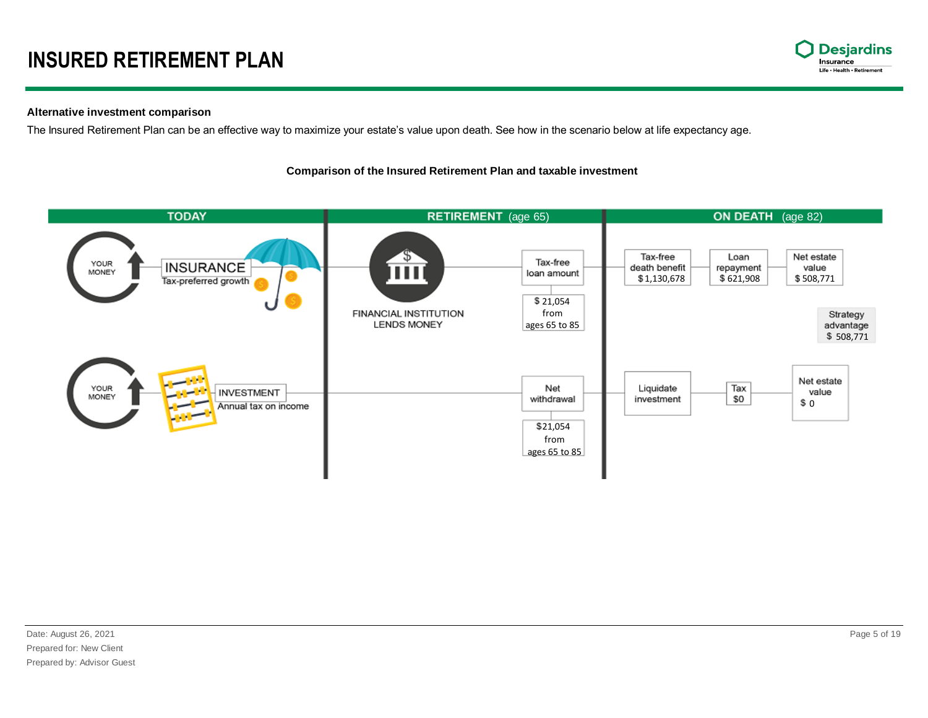

#### **Alternative investment comparison**

The Insured Retirement Plan can be an effective way to maximize your estate's value upon death. See how in the scenario below at life expectancy age.

#### **Comparison of the Insured Retirement Plan and taxable investment**

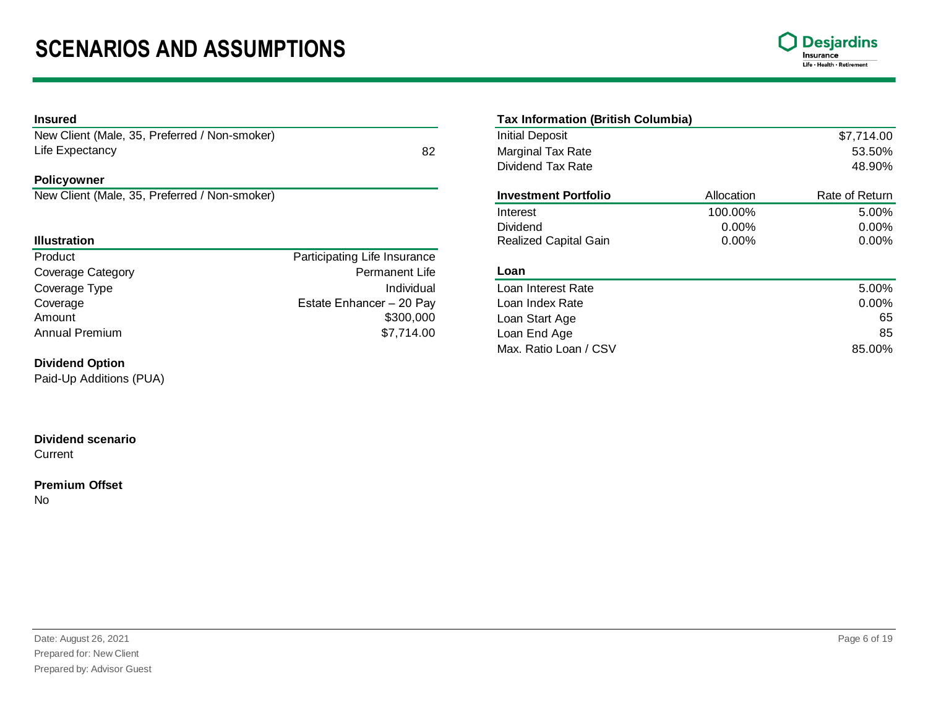

#### **Policyowner**

| Product               | Participating Life Insurance |                    |       |
|-----------------------|------------------------------|--------------------|-------|
| Coverage Category     | Permanent Life               | Loan               |       |
| Coverage Type         | Individual                   | Loan Interest Rate | 5.00% |
| Coverage              | Estate Enhancer - 20 Pay     | Loan Index Rate    | 0.00% |
| Amount                | \$300,000                    | Loan Start Age     | 65    |
| <b>Annual Premium</b> | \$7,714.00                   | Loan End Age       | 85    |

#### **Dividend Option**

Paid-Up Additions (PUA)

### **Dividend scenario**

**Current** 

### **Premium Offset**

No

| Insured                                       |                              | <b>Tax Information (British Columbia)</b> |            |                |
|-----------------------------------------------|------------------------------|-------------------------------------------|------------|----------------|
| New Client (Male, 35, Preferred / Non-smoker) |                              | <b>Initial Deposit</b>                    |            | \$7,714.00     |
| Life Expectancy                               | 82                           | Marginal Tax Rate                         |            | 53.50%         |
|                                               |                              | Dividend Tax Rate                         |            | 48.90%         |
| Policyowner                                   |                              |                                           |            |                |
| New Client (Male, 35, Preferred / Non-smoker) |                              | <b>Investment Portfolio</b>               | Allocation | Rate of Return |
|                                               |                              | Interest                                  | 100.00%    | 5.00%          |
|                                               |                              | Dividend                                  | $0.00\%$   | $0.00\%$       |
| <b>Illustration</b>                           |                              | <b>Realized Capital Gain</b>              | $0.00\%$   | 0.00%          |
| Product                                       | Participating Life Insurance |                                           |            |                |
| Coverage Category                             | Permanent Life               | Loan                                      |            |                |
| Coverage Type                                 | Individual                   | Loan Interest Rate                        |            | 5.00%          |
| Coverage                                      | Estate Enhancer - 20 Pay     | Loan Index Rate                           |            | 0.00%          |

| $0.00\%$ |
|----------|
| 65       |
| 85       |
| 85.00%   |
|          |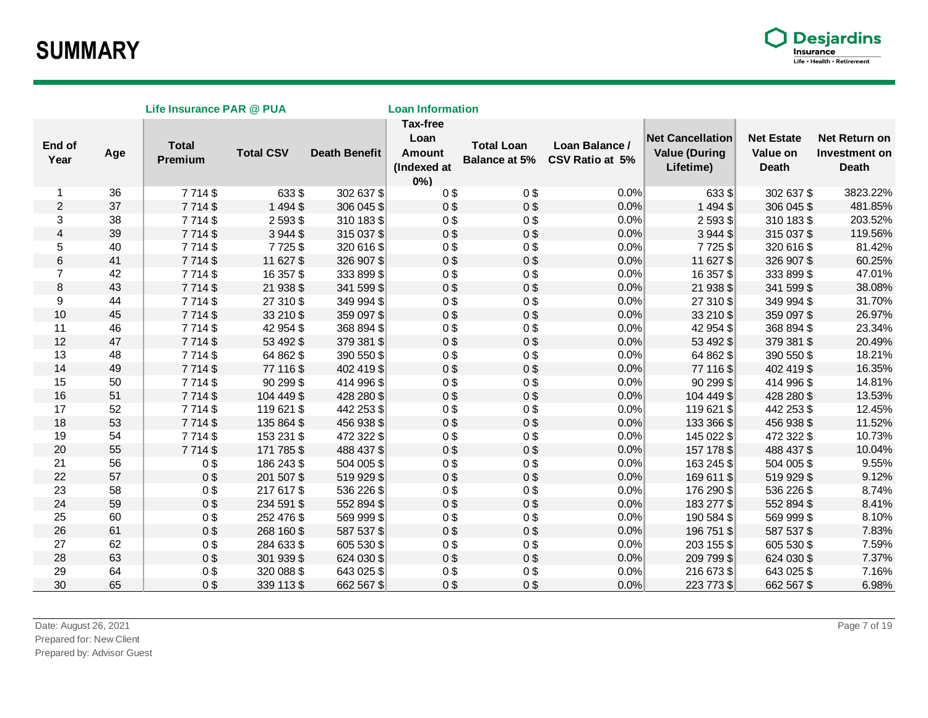

|                |     | Life Insurance PAR @ PUA |                  |                      | <b>Loan Information</b>                                          |                                           |                                   |                                                              |                                        |                                                |
|----------------|-----|--------------------------|------------------|----------------------|------------------------------------------------------------------|-------------------------------------------|-----------------------------------|--------------------------------------------------------------|----------------------------------------|------------------------------------------------|
| End of<br>Year | Age | <b>Total</b><br>Premium  | <b>Total CSV</b> | <b>Death Benefit</b> | <b>Tax-free</b><br>Loan<br><b>Amount</b><br>(Indexed at<br>$0\%$ | <b>Total Loan</b><br><b>Balance at 5%</b> | Loan Balance /<br>CSV Ratio at 5% | <b>Net Cancellation</b><br><b>Value (During</b><br>Lifetime) | <b>Net Estate</b><br>Value on<br>Death | Net Return on<br>Investment on<br><b>Death</b> |
| 1              | 36  | 7714\$                   | 633\$            | 302 637 \$           | 0\$                                                              | 0\$                                       | 0.0%                              | $633$ \$                                                     | 302 637 \$                             | 3823.22%                                       |
| $\overline{c}$ | 37  | 7714\$                   | 1494\$           | 306 045 \$           | 0 <sup>3</sup>                                                   | 0 <sup>3</sup>                            | 0.0%                              | 1 4 9 4 \$                                                   | 306 045 \$                             | 481.85%                                        |
| 3              | 38  | 7714\$                   | 2593\$           | 310 183 \$           | 0\$                                                              | 0 <sup>3</sup>                            | 0.0%                              | $2593$ \$                                                    | 310 183 \$                             | 203.52%                                        |
| 4              | 39  | 7714\$                   | 3944\$           | 315 037 \$           | 0 <sup>3</sup>                                                   | 0 <sup>9</sup>                            | 0.0%                              | 3 944 \$                                                     | 315 037 \$                             | 119.56%                                        |
| 5              | 40  | 7714\$                   | 7725\$           | 320 616 \$           | 0 <sup>3</sup>                                                   | 0\$                                       | 0.0%                              | 7725\$                                                       | 320 616 \$                             | 81.42%                                         |
| 6              | 41  | 7 7 1 4 \$               | 11 627 \$        | 326 907 \$           | 0 <sup>3</sup>                                                   | 0 <sup>3</sup>                            | 0.0%                              | 11 627 \$                                                    | 326 907 \$                             | 60.25%                                         |
| $\overline{7}$ | 42  | 7714\$                   | 16 357 \$        | 333 899 \$           | 0 <sup>3</sup>                                                   | 0 <sup>3</sup>                            | $0.0\%$                           | 16 357 \$                                                    | 333 899 \$                             | 47.01%                                         |
| 8              | 43  | 7 7 1 4 \$               | 21 938 \$        | 341 599 \$           | 0 <sup>3</sup>                                                   | 0 <sup>9</sup>                            | 0.0%                              | 21 938 \$                                                    | 341 599 \$                             | 38.08%                                         |
| 9              | 44  | 7714\$                   | 27 310 \$        | 349 994 \$           | 0\$                                                              | 0 <sup>9</sup>                            | 0.0%                              | 27 310 \$                                                    | 349 994 \$                             | 31.70%                                         |
| 10             | 45  | 7714\$                   | 33 210 \$        | 359 097 \$           | 0 <sup>3</sup>                                                   | 0 <sup>5</sup>                            | 0.0%                              | 33 210 \$                                                    | 359 097 \$                             | 26.97%                                         |
| 11             | 46  | 7714\$                   | 42 954 \$        | 368 894 \$           | 0 <sup>3</sup>                                                   | 0 <sup>9</sup>                            | 0.0%                              | 42 954 \$                                                    | 368 894 \$                             | 23.34%                                         |
| 12             | 47  | 7714\$                   | 53 492 \$        | 379 381 \$           | 0 <sup>3</sup>                                                   | 0\$                                       | 0.0%                              | 53 492 \$                                                    | 379 381 \$                             | 20.49%                                         |
| 13             | 48  | 7714\$                   | 64 862 \$        | 390 550 \$           | 0\$                                                              | 0 <sup>9</sup>                            | 0.0%                              | 64 862 \$                                                    | 390 550 \$                             | 18.21%                                         |
| 14             | 49  | 7714\$                   | 77 116 \$        | 402 419 \$           | 0 <sup>3</sup>                                                   | 0\$                                       | 0.0%                              | 77 116 \$                                                    | 402 419 \$                             | 16.35%                                         |
| 15             | 50  | 7714\$                   | 90 299 \$        | 414 996 \$           | 0\$                                                              | 0 <sup>3</sup>                            | 0.0%                              | $90299$ \$                                                   | 414 996 \$                             | 14.81%                                         |
| 16             | 51  | 7714\$                   | 104 449 \$       | 428 280 \$           | 0 <sup>3</sup>                                                   | 0\$                                       | 0.0%                              | 104 449 \$                                                   | 428 280 \$                             | 13.53%                                         |
| 17             | 52  | 7714\$                   | 119 621 \$       | 442 253 \$           | 0\$                                                              | 0\$                                       | 0.0%                              | 119 621 \$                                                   | 442 253 \$                             | 12.45%                                         |
| 18             | 53  | 7714\$                   | 135 864 \$       | 456 938 \$           | 0\$                                                              | 0\$                                       | 0.0%                              | 133 366 \$                                                   | 456 938 \$                             | 11.52%                                         |
| 19             | 54  | 7714\$                   | 153 231 \$       | 472 322 \$           | 0\$                                                              | 0 <sup>9</sup>                            | 0.0%                              | 145 022 \$                                                   | 472 322 \$                             | 10.73%                                         |
| 20             | 55  | 7714\$                   | 171 785 \$       | 488 437 \$           | 0\$                                                              | 0 <sup>3</sup>                            | 0.0%                              | 157 178 \$                                                   | 488 437 \$                             | 10.04%                                         |
| 21             | 56  | 0\$                      | 186 243 \$       | 504 005 \$           | 0\$                                                              | 0\$                                       | 0.0%                              | 163 245 \$                                                   | 504 005 \$                             | 9.55%                                          |
| 22             | 57  | 0\$                      | 201 507 \$       | 519 929 \$           | 0 <sup>3</sup>                                                   | 0 <sup>3</sup>                            | 0.0%                              | 169 611 \$                                                   | 519 929 \$                             | 9.12%                                          |
| 23             | 58  | 0\$                      | 217 617 \$       | 536 226 \$           | 0\$                                                              | 0 <sup>3</sup>                            | 0.0%                              | 176 290 \$                                                   | 536 226 \$                             | 8.74%                                          |
| 24             | 59  | 0\$                      | 234 591 \$       | 552 894 \$           | 0 <sup>3</sup>                                                   | 0 <sup>3</sup>                            | 0.0%                              | 183 277 \$                                                   | 552 894 \$                             | 8.41%                                          |
| 25             | 60  | 0\$                      | 252 476 \$       | 569 999 \$           | 0 <sup>3</sup>                                                   | 0 <sup>3</sup>                            | 0.0%                              | 190 584 \$                                                   | 569 999 \$                             | 8.10%                                          |
| 26             | 61  | 0\$                      | 268 160 \$       | 587 537 \$           | 0 <sup>3</sup>                                                   | 0 <sup>9</sup>                            | 0.0%                              | 196 751 \$                                                   | 587 537 \$                             | 7.83%                                          |
| 27             | 62  | 0\$                      | 284 633 \$       | 605 530 \$           | 0\$                                                              | 0 <sup>9</sup>                            | 0.0%                              | 203 155 \$                                                   | 605 530 \$                             | 7.59%                                          |
| 28             | 63  | 0\$                      | 301 939 \$       | 624 030 \$           | 0 <sup>3</sup>                                                   | 0 <sup>3</sup>                            | 0.0%                              | 209 799 \$                                                   | 624 030 \$                             | 7.37%                                          |
| 29             | 64  | 0\$                      | 320 088 \$       | 643 025 \$           | 0 <sup>3</sup>                                                   | 0 <sup>3</sup>                            | 0.0%                              | 216 673 \$                                                   | 643 025 \$                             | 7.16%                                          |
| 30             | 65  | 0\$                      | 339 113 \$       | 662 567 \$           | 0 <sup>3</sup>                                                   | 0 <sup>9</sup>                            | 0.0%                              | 223 773 \$                                                   | 662 567 \$                             | 6.98%                                          |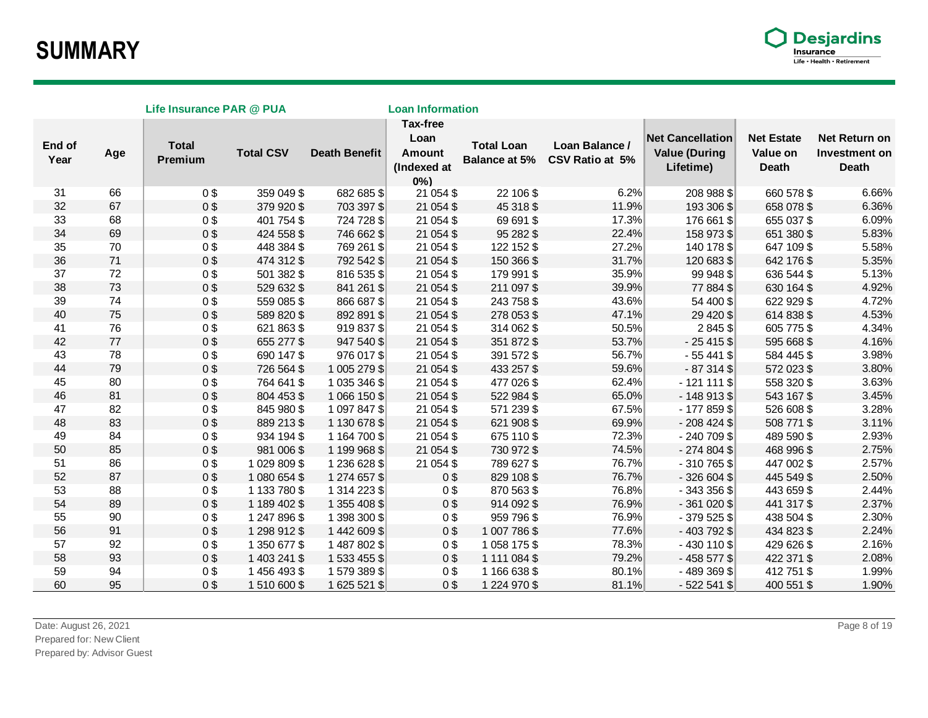

| Life Insurance PAR @ PUA |        |                         |                  | <b>Loan Information</b> |                                                                  |                                           |                                   |                                                              |                                               |                                                       |
|--------------------------|--------|-------------------------|------------------|-------------------------|------------------------------------------------------------------|-------------------------------------------|-----------------------------------|--------------------------------------------------------------|-----------------------------------------------|-------------------------------------------------------|
| End of<br>Year           | Age    | <b>Total</b><br>Premium | <b>Total CSV</b> | <b>Death Benefit</b>    | <b>Tax-free</b><br>Loan<br><b>Amount</b><br>(Indexed at<br>$0\%$ | <b>Total Loan</b><br><b>Balance at 5%</b> | Loan Balance /<br>CSV Ratio at 5% | <b>Net Cancellation</b><br><b>Value (During</b><br>Lifetime) | <b>Net Estate</b><br>Value on<br><b>Death</b> | Net Return on<br><b>Investment on</b><br><b>Death</b> |
| 31                       | 66     | 0 <sup>3</sup>          | 359 049 \$       | 682 685 \$              | 21 054 \$                                                        | 22 106 \$                                 | 6.2%                              | 208 988 \$                                                   | 660 578 \$                                    | 6.66%                                                 |
| 32                       | 67     | 0\$                     | 379 920 \$       | 703 397 \$              | 21 054 \$                                                        | 45 318 \$                                 | 11.9%                             | 193 306 \$                                                   | 658 078 \$                                    | 6.36%                                                 |
| 33                       | 68     | 0\$                     | 401 754 \$       | 724 728 \$              | 21 054 \$                                                        | 69 691 \$                                 | 17.3%                             | 176 661 \$                                                   | 655 037 \$                                    | 6.09%                                                 |
| 34                       | 69     | 0\$                     | 424 558 \$       | 746 662 \$              | 21 054 \$                                                        | 95 282 \$                                 | 22.4%                             | 158 973 \$                                                   | 651 380 \$                                    | 5.83%                                                 |
| 35                       | 70     | 0\$                     | 448 384 \$       | 769 261 \$              | 21 054 \$                                                        | 122 152 \$                                | 27.2%                             | 140 178 \$                                                   | 647 109 \$                                    | 5.58%                                                 |
| 36                       | 71     | $0$ \$                  | 474 312 \$       | 792 542 \$              | 21 054 \$                                                        | 150 366 \$                                | 31.7%                             | 120 683 \$                                                   | 642 176 \$                                    | 5.35%                                                 |
| 37                       | 72     | 0 <sup>3</sup>          | 501 382 \$       | 816 535 \$              | 21 054 \$                                                        | 179 991 \$                                | 35.9%                             | 99 948 \$                                                    | 636 544 \$                                    | 5.13%                                                 |
| 38                       | 73     | 0\$                     | 529 632 \$       | 841 261 \$              | 21 054 \$                                                        | 211 097 \$                                | 39.9%                             | 77 884 \$                                                    | 630 164 \$                                    | 4.92%                                                 |
| 39                       | 74     | 0\$                     | 559 085 \$       | 866 687 \$              | 21 054 \$                                                        | 243 758 \$                                | 43.6%                             | 54 400 \$                                                    | 622 929 \$                                    | 4.72%                                                 |
| 40                       | 75     | 0\$                     | 589 820 \$       | 892 891 \$              | 21 054 \$                                                        | 278 053 \$                                | 47.1%                             | 29 4 20 \$                                                   | 614 838 \$                                    | 4.53%                                                 |
| 41                       | 76     | 0 <sup>3</sup>          | 621 863 \$       | 919 837 \$              | 21 054 \$                                                        | 314 062 \$                                | 50.5%                             | 2845\$                                                       | 605 775 \$                                    | 4.34%                                                 |
| 42                       | $77\,$ | 0\$                     | 655 277 \$       | 947 540 \$              | 21 054 \$                                                        | 351 872 \$                                | 53.7%                             | $-25415$ \$                                                  | 595 668 \$                                    | 4.16%                                                 |
| 43                       | 78     | 0 <sup>3</sup>          | 690 147 \$       | 976 017 \$              | 21 054 \$                                                        | 391 572 \$                                | 56.7%                             | $-55441$ \$                                                  | 584 445 \$                                    | 3.98%                                                 |
| 44                       | 79     | 0\$                     | 726 564 \$       | 1 005 279 \$            | 21 054 \$                                                        | 433 257 \$                                | 59.6%                             | $-87314$ \$                                                  | 572 023 \$                                    | 3.80%                                                 |
| 45                       | 80     | 0\$                     | 764 641 \$       | 1 035 346 \$            | 21 054 \$                                                        | 477 026 \$                                | 62.4%                             | $-121111$ \$                                                 | 558 320 \$                                    | 3.63%                                                 |
| 46                       | 81     | 0\$                     | 804 453 \$       | 1 066 150 \$            | 21 054 \$                                                        | 522 984 \$                                | 65.0%                             | $-148913$                                                    | 543 167 \$                                    | 3.45%                                                 |
| 47                       | 82     | 0\$                     | 845 980 \$       | 1 097 847 \$            | 21 054 \$                                                        | 571 239 \$                                | 67.5%                             | $-177859$ \$                                                 | 526 608 \$                                    | 3.28%                                                 |
| 48                       | 83     | 0\$                     | 889 213 \$       | 1 130 678 \$            | 21 054 \$                                                        | 621 908 \$                                | 69.9%                             | $-208424$ \$                                                 | 508 771 \$                                    | 3.11%                                                 |
| 49                       | 84     | 0\$                     | 934 194 \$       | 1 164 700 \$            | 21 054 \$                                                        | 675 110 \$                                | 72.3%                             | $-240709$ \$                                                 | 489 590 \$                                    | 2.93%                                                 |
| 50                       | 85     | 0\$                     | 981 006 \$       | 1 199 968 \$            | 21 054 \$                                                        | 730 972 \$                                | 74.5%                             | $-274804$                                                    | 468 996 \$                                    | 2.75%                                                 |
| 51                       | 86     | 0\$                     | 1 029 809 \$     | 1 236 628 \$            | 21 054 \$                                                        | 789 627 \$                                | 76.7%                             | $-310765$ \$                                                 | 447 002 \$                                    | 2.57%                                                 |
| 52                       | 87     | 0\$                     | 1 080 654 \$     | 1 274 657 \$            | 0 <sup>3</sup>                                                   | 829 108 \$                                | 76.7%                             | $-326604$ \$                                                 | 445 549 \$                                    | 2.50%                                                 |
| 53                       | 88     | 0\$                     | 1 133 780 \$     | 1 314 223 \$            | 0 <sup>3</sup>                                                   | 870 563 \$                                | 76.8%                             | $-343356$ \$                                                 | 443 659 \$                                    | 2.44%                                                 |
| 54                       | 89     | 0\$                     | 1 189 402 \$     | 1 355 408 \$            | 0\$                                                              | 914 092 \$                                | 76.9%                             | $-361020$ \$                                                 | 441 317 \$                                    | 2.37%                                                 |
| 55                       | 90     | 0\$                     | 1 247 896 \$     | 1 398 300 \$            | 0 <sup>3</sup>                                                   | 959 796 \$                                | 76.9%                             | $-379525$ \$                                                 | 438 504 \$                                    | 2.30%                                                 |
| 56                       | 91     | 0 <sup>3</sup>          | 1 298 912 \$     | 1442609\$               | 0\$                                                              | 1 007 786 \$                              | 77.6%                             | $-403792$ \$                                                 | 434 823 \$                                    | 2.24%                                                 |
| 57                       | 92     | 0\$                     | 1 350 677 \$     | 1487802\$               | 0\$                                                              | 1 058 175 \$                              | 78.3%                             | $-430110$ \$                                                 | 429 626 \$                                    | 2.16%                                                 |
| 58                       | 93     | $0$ \$                  | 1 403 241 \$     | 1 533 455 \$            | 0 <sup>3</sup>                                                   | 1 111 084 \$                              | 79.2%                             | $-458577$ \$                                                 | 422 371 \$                                    | 2.08%                                                 |
| 59                       | 94     | 0\$                     | 1456493\$        | 1 579 389 \$            | 0 <sup>3</sup>                                                   | 1 166 638 \$                              | 80.1%                             | -489369\$                                                    | 412 751 \$                                    | 1.99%                                                 |
| 60                       | 95     | 0 <sup>3</sup>          | 1510600\$        | 1 625 521 \$            | 0\$                                                              | 1 224 970 \$                              | 81.1%                             | $-522541$ \$                                                 | 400 551 \$                                    | 1.90%                                                 |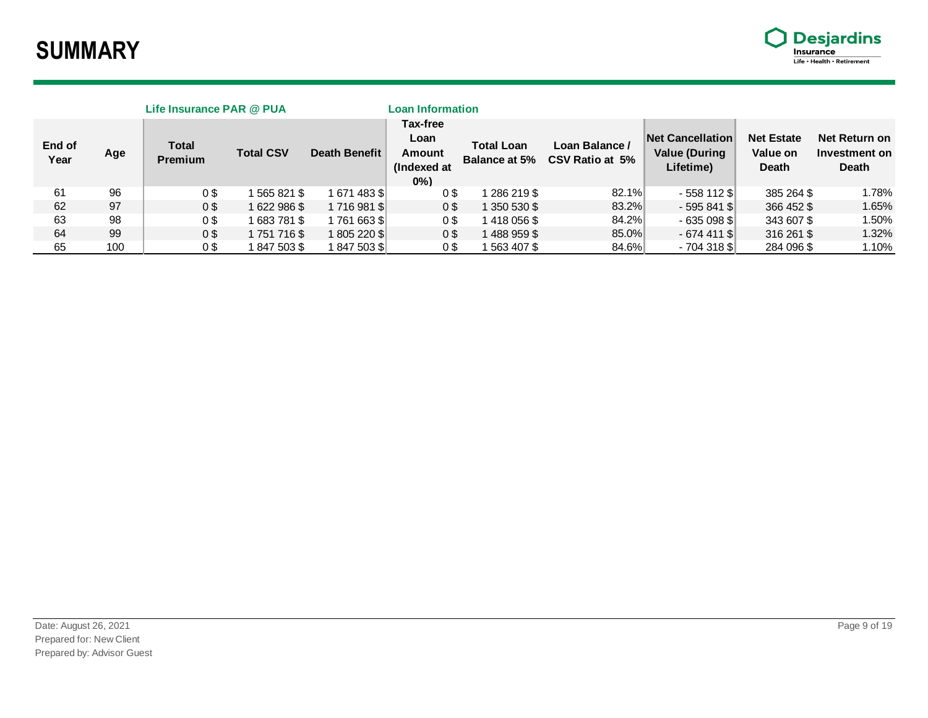

| Life Insurance PAR @ PUA |     |                                |                  |                      | <b>Loan Information</b>                   |                                           |                                   |                                                       |                                               |                                                |
|--------------------------|-----|--------------------------------|------------------|----------------------|-------------------------------------------|-------------------------------------------|-----------------------------------|-------------------------------------------------------|-----------------------------------------------|------------------------------------------------|
| End of<br>Year           | Age | <b>Total</b><br><b>Premium</b> | <b>Total CSV</b> | <b>Death Benefit</b> | Tax-free<br>Loan<br>Amount<br>(Indexed at | <b>Total Loan</b><br><b>Balance at 5%</b> | Loan Balance /<br>CSV Ratio at 5% | Net Cancellation<br><b>Value (During</b><br>Lifetime) | <b>Net Estate</b><br>Value on<br><b>Death</b> | Net Return on<br>Investment on<br><b>Death</b> |
|                          |     |                                |                  |                      | $0\%$                                     |                                           |                                   |                                                       |                                               |                                                |
| 61                       | 96  | 0\$                            | 565821\$         | 1671483 \$           | 0\$                                       | 1 286 219 \$                              | 82.1%                             | - 558 112 \$                                          | 385 264 \$                                    | 1.78%                                          |
| 62                       | 97  | 0\$                            | 1622986\$        | 1716981 \$           | 0\$                                       | 1 350 530 \$                              | 83.2%                             | $-595841$ S                                           | 366 452 \$                                    | 1.65%                                          |
| 63                       | 98  | 0\$                            | 1 683 781 \$     | 1761663\$            | 0\$                                       | 1418056\$                                 | 84.2%                             | $-635098$ S                                           | 343 607 \$                                    | 1.50%                                          |
| 64                       | 99  | 0 <sup>3</sup>                 | 1751716\$        | 1805220\$            | 0\$                                       | 1488959\$                                 | 85.0%                             | - 674 411 \$                                          | 316 261 \$                                    | 1.32%                                          |
| 65                       | 100 | 0\$                            | 847 503 \$       | 1847 503 \$          | 0\$                                       | 1 563 407 \$                              | 84.6%                             | $-704318$ S                                           | 284 096 \$                                    | 1.10%                                          |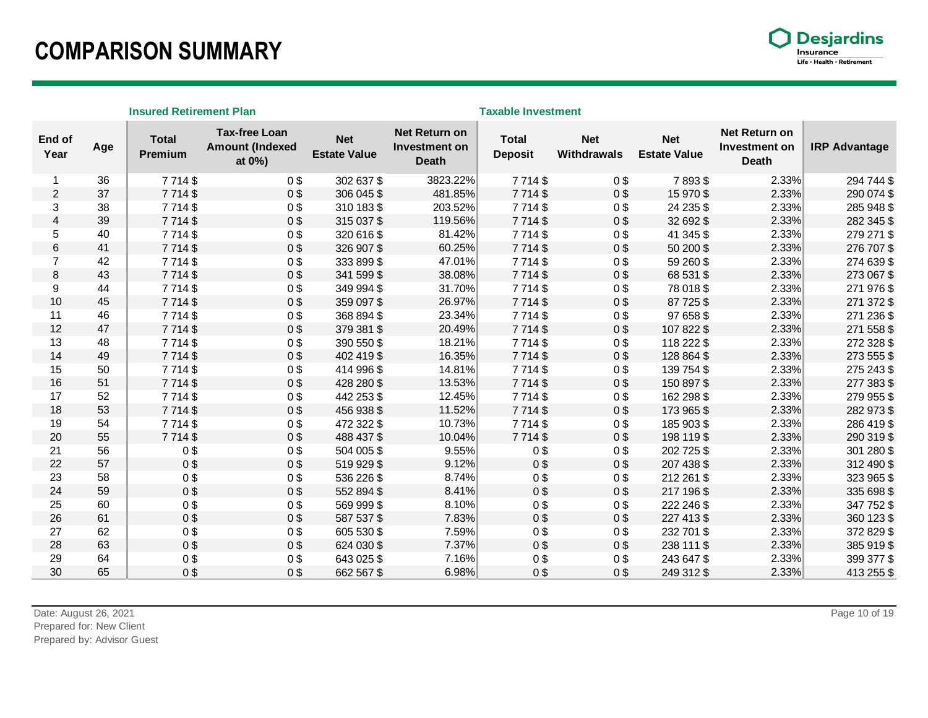### **COMPARISON SUMMARY**



|                         | <b>Insured Retirement Plan</b> |                         |                                                          |                                   |                                                |                                | <b>Taxable Investment</b> |                                   |                                                |                      |  |  |
|-------------------------|--------------------------------|-------------------------|----------------------------------------------------------|-----------------------------------|------------------------------------------------|--------------------------------|---------------------------|-----------------------------------|------------------------------------------------|----------------------|--|--|
| End of<br>Year          | Age                            | <b>Total</b><br>Premium | <b>Tax-free Loan</b><br><b>Amount (Indexed</b><br>at 0%) | <b>Net</b><br><b>Estate Value</b> | Net Return on<br>Investment on<br><b>Death</b> | <b>Total</b><br><b>Deposit</b> | <b>Net</b><br>Withdrawals | <b>Net</b><br><b>Estate Value</b> | Net Return on<br>Investment on<br><b>Death</b> | <b>IRP Advantage</b> |  |  |
| 1                       | 36                             | 7714\$                  | 0 <sup>3</sup>                                           | 302 637 \$                        | 3823.22%                                       | 7714\$                         | 0\$                       | 7893\$                            | 2.33%                                          | 294 744 \$           |  |  |
| $\overline{2}$          | 37                             | 7714\$                  | 0\$                                                      | 306 045 \$                        | 481.85%                                        | 7714\$                         | 0\$                       | 15 970 \$                         | 2.33%                                          | 290 074 \$           |  |  |
| 3                       | 38                             | 7714\$                  | 0 <sup>3</sup>                                           | 310 183 \$                        | 203.52%                                        | 7714\$                         | 0\$                       | 24 235 \$                         | 2.33%                                          | 285 948 \$           |  |  |
| $\overline{\mathbf{4}}$ | 39                             | 7714\$                  | 0 <sup>9</sup>                                           | 315 037 \$                        | 119.56%                                        | 7714\$                         | 0 <sup>3</sup>            | 32 692 \$                         | 2.33%                                          | 282 345 \$           |  |  |
| 5                       | 40                             | 7714\$                  | 0\$                                                      | 320 616 \$                        | 81.42%                                         | 7714\$                         | 0\$                       | 41 345 \$                         | 2.33%                                          | 279 271 \$           |  |  |
| 6                       | 41                             | 7714\$                  | 0\$                                                      | 326 907 \$                        | 60.25%                                         | 7714\$                         | 0 <sup>3</sup>            | 50 200 \$                         | 2.33%                                          | 276 707 \$           |  |  |
| $\overline{7}$          | 42                             | 7714\$                  | 0\$                                                      | 333 899 \$                        | 47.01%                                         | 7714\$                         | 0 <sup>3</sup>            | 59 260 \$                         | 2.33%                                          | 274 639 \$           |  |  |
| 8                       | 43                             | 7714\$                  | 0 <sup>3</sup>                                           | 341 599 \$                        | 38.08%                                         | 7714\$                         | 0 <sup>3</sup>            | 68 531 \$                         | 2.33%                                          | 273 067 \$           |  |  |
| 9                       | 44                             | 7714\$                  | 0 <sup>3</sup>                                           | 349 994 \$                        | 31.70%                                         | 7714\$                         | 0\$                       | 78 018 \$                         | 2.33%                                          | 271 976 \$           |  |  |
| 10                      | 45                             | 7714\$                  | 0\$                                                      | 359 097 \$                        | 26.97%                                         | 7714\$                         | 0\$                       | 87 725 \$                         | 2.33%                                          | 271 372 \$           |  |  |
| 11                      | 46                             | 7714\$                  | 0\$                                                      | 368 894 \$                        | 23.34%                                         | 7714\$                         | 0\$                       | 97 658 \$                         | 2.33%                                          | 271 236 \$           |  |  |
| 12                      | 47                             | 7714\$                  | 0 <sup>9</sup>                                           | 379 381 \$                        | 20.49%                                         | 7714\$                         | $0$ \$                    | 107 822 \$                        | 2.33%                                          | 271 558 \$           |  |  |
| 13                      | 48                             | 7714\$                  | 0\$                                                      | 390 550 \$                        | 18.21%                                         | 7714\$                         | 0\$                       | 118 222 \$                        | 2.33%                                          | 272 328 \$           |  |  |
| 14                      | 49                             | 7714\$                  | 0 <sup>3</sup>                                           | 402 419 \$                        | 16.35%                                         | 7714\$                         | 0\$                       | 128 864 \$                        | 2.33%                                          | 273 555 \$           |  |  |
| 15                      | 50                             | 7714\$                  | 0 <sup>3</sup>                                           | 414 996 \$                        | 14.81%                                         | 7714\$                         | 0\$                       | 139 754 \$                        | 2.33%                                          | 275 243 \$           |  |  |
| 16                      | 51                             | 7714\$                  | 0\$                                                      | 428 280 \$                        | 13.53%                                         | 7714\$                         | $0$ \$                    | 150 897 \$                        | 2.33%                                          | 277 383 \$           |  |  |
| 17                      | 52                             | 7714\$                  | 0 <sup>3</sup>                                           | 442 253 \$                        | 12.45%                                         | 7714\$                         | 0\$                       | 162 298 \$                        | 2.33%                                          | 279 955 \$           |  |  |
| 18                      | 53                             | 7714\$                  | 0\$                                                      | 456 938 \$                        | 11.52%                                         | 7714\$                         | 0 <sup>3</sup>            | 173 965 \$                        | 2.33%                                          | 282 973 \$           |  |  |
| 19                      | 54                             | 7714\$                  | 0 <sup>9</sup>                                           | 472 322 \$                        | 10.73%                                         | 7714\$                         | 0\$                       | 185 903 \$                        | 2.33%                                          | 286 419 \$           |  |  |
| 20                      | 55                             | 7714\$                  | 0\$                                                      | 488 437 \$                        | 10.04%                                         | 7714\$                         | $0$ \$                    | 198 119 \$                        | 2.33%                                          | 290 319 \$           |  |  |
| 21                      | 56                             | 0\$                     | 0\$                                                      | 504 005 \$                        | 9.55%                                          | 0 <sup>3</sup>                 | 0\$                       | 202 725 \$                        | 2.33%                                          | 301 280 \$           |  |  |
| 22                      | 57                             | 0\$                     | 0\$                                                      | 519 929 \$                        | 9.12%                                          | 0 <sup>3</sup>                 | 0 <sup>3</sup>            | 207 438 \$                        | 2.33%                                          | 312 490 \$           |  |  |
| 23                      | 58                             | 0\$                     | 0\$                                                      | 536 226 \$                        | 8.74%                                          | 0 <sup>3</sup>                 | 0 <sup>3</sup>            | 212 261 \$                        | 2.33%                                          | 323 965 \$           |  |  |
| 24                      | 59                             | 0\$                     | 0\$                                                      | 552 894 \$                        | 8.41%                                          | 0 <sup>3</sup>                 | 0\$                       | 217 196 \$                        | 2.33%                                          | 335 698 \$           |  |  |
| 25                      | 60                             | 0\$                     | 0 <sup>3</sup>                                           | 569 999 \$                        | 8.10%                                          | 0 <sup>3</sup>                 | 0\$                       | 222 246 \$                        | 2.33%                                          | 347 752 \$           |  |  |
| 26                      | 61                             | 0\$                     | 0\$                                                      | 587 537 \$                        | 7.83%                                          | 0 <sup>3</sup>                 | 0\$                       | 227 413 \$                        | 2.33%                                          | 360 123 \$           |  |  |
| 27                      | 62                             | 0\$                     | 0\$                                                      | 605 530 \$                        | 7.59%                                          | 0 <sup>9</sup>                 | 0\$                       | 232 701 \$                        | 2.33%                                          | 372 829 \$           |  |  |
| 28                      | 63                             | 0\$                     | 0\$                                                      | 624 030 \$                        | 7.37%                                          | 0 <sup>3</sup>                 | 0\$                       | 238 111 \$                        | 2.33%                                          | 385 919 \$           |  |  |
| 29                      | 64                             | 0\$                     | 0 <sup>3</sup>                                           | 643 025 \$                        | 7.16%                                          | 0 <sup>3</sup>                 | 0\$                       | 243 647 \$                        | 2.33%                                          | 399 377 \$           |  |  |
| 30                      | 65                             | 0\$                     | 0\$                                                      | 662 567 \$                        | 6.98%                                          | 0\$                            | 0\$                       | 249 312 \$                        | 2.33%                                          | 413 255 \$           |  |  |

Prepared by: Advisor Guest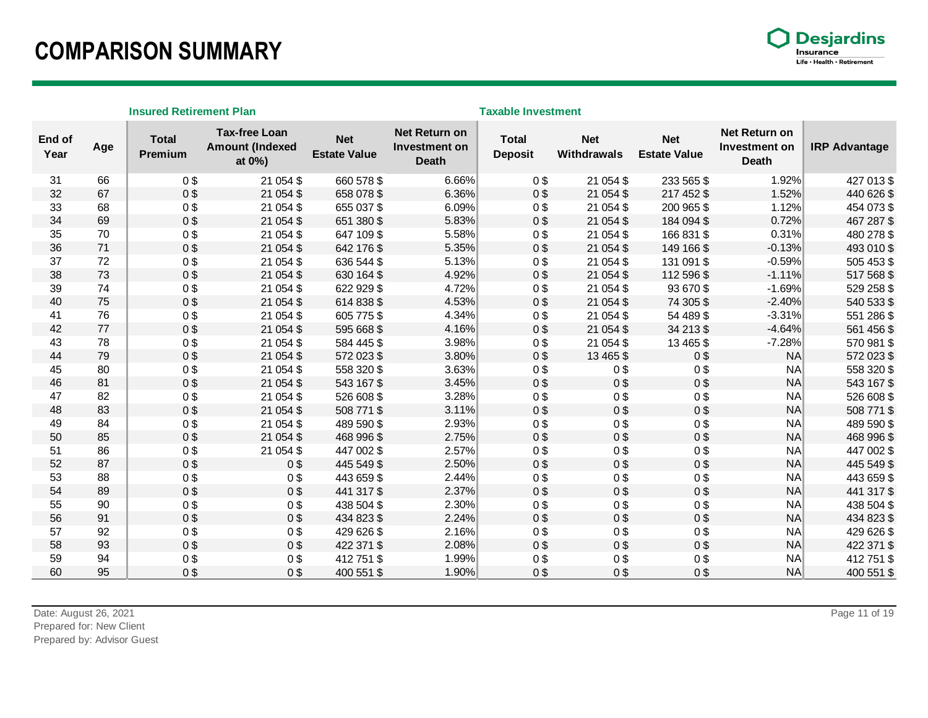### **COMPARISON SUMMARY**



|                | <b>Insured Retirement Plan</b> |                         |                                                          |                                   |                                                |                                | <b>Taxable Investment</b>        |                                   |                                                |                      |  |  |
|----------------|--------------------------------|-------------------------|----------------------------------------------------------|-----------------------------------|------------------------------------------------|--------------------------------|----------------------------------|-----------------------------------|------------------------------------------------|----------------------|--|--|
| End of<br>Year | Age                            | <b>Total</b><br>Premium | <b>Tax-free Loan</b><br><b>Amount (Indexed</b><br>at 0%) | <b>Net</b><br><b>Estate Value</b> | Net Return on<br>Investment on<br><b>Death</b> | <b>Total</b><br><b>Deposit</b> | <b>Net</b><br><b>Withdrawals</b> | <b>Net</b><br><b>Estate Value</b> | Net Return on<br>Investment on<br><b>Death</b> | <b>IRP Advantage</b> |  |  |
| 31             | 66                             | 0\$                     | 21 054 \$                                                | 660 578 \$                        | 6.66%                                          | 0\$                            | 21 054 \$                        | 233 565 \$                        | 1.92%                                          | 427 013 \$           |  |  |
| 32             | 67                             | 0\$                     | 21 054 \$                                                | 658 078 \$                        | 6.36%                                          | 0 <sup>3</sup>                 | 21 054 \$                        | 217 452 \$                        | 1.52%                                          | 440 626 \$           |  |  |
| 33             | 68                             | 0\$                     | 21 054 \$                                                | 655 037 \$                        | 6.09%                                          | 0 <sup>3</sup>                 | 21 054 \$                        | 200 965 \$                        | 1.12%                                          | 454 073 \$           |  |  |
| 34             | 69                             | 0\$                     | 21 054 \$                                                | 651 380 \$                        | 5.83%                                          | 0 <sup>3</sup>                 | 21 054 \$                        | 184 094 \$                        | 0.72%                                          | 467 287 \$           |  |  |
| 35             | 70                             | 0\$                     | 21 054 \$                                                | 647 109 \$                        | 5.58%                                          | 0 <sup>3</sup>                 | 21 054 \$                        | 166 831 \$                        | 0.31%                                          | 480 278 \$           |  |  |
| 36             | 71                             | 0\$                     | 21 054 \$                                                | 642 176 \$                        | 5.35%                                          | 0 <sup>3</sup>                 | 21 054 \$                        | 149 166 \$                        | $-0.13%$                                       | 493 010 \$           |  |  |
| 37             | 72                             | 0\$                     | 21 054 \$                                                | 636 544 \$                        | 5.13%                                          | 0 <sup>3</sup>                 | 21 054 \$                        | 131 091 \$                        | $-0.59%$                                       | 505 453 \$           |  |  |
| 38             | 73                             | 0\$                     | 21 054 \$                                                | 630 164 \$                        | 4.92%                                          | 0 <sup>3</sup>                 | 21 054 \$                        | 112 596 \$                        | $-1.11%$                                       | 517 568 \$           |  |  |
| 39             | 74                             | 0\$                     | 21 054 \$                                                | 622 929 \$                        | 4.72%                                          | 0 <sup>3</sup>                 | 21 054 \$                        | 93 670 \$                         | $-1.69%$                                       | 529 258 \$           |  |  |
| 40             | 75                             | 0\$                     | 21 054 \$                                                | 614 838 \$                        | 4.53%                                          | 0 <sup>3</sup>                 | 21 054 \$                        | 74 305 \$                         | $-2.40%$                                       | 540 533 \$           |  |  |
| 41             | 76                             | 0\$                     | 21 054 \$                                                | 605 775 \$                        | 4.34%                                          | 0 <sup>3</sup>                 | 21 054 \$                        | 54 489 \$                         | $-3.31%$                                       | 551 286 \$           |  |  |
| 42             | 77                             | 0\$                     | 21 054 \$                                                | 595 668 \$                        | 4.16%                                          | 0 <sup>3</sup>                 | 21 054 \$                        | 34 213 \$                         | $-4.64%$                                       | 561 456 \$           |  |  |
| 43             | 78                             | 0\$                     | 21 054 \$                                                | 584 445 \$                        | 3.98%                                          | 0 <sup>3</sup>                 | 21 054 \$                        | 13 4 65 \$                        | $-7.28%$                                       | 570 981 \$           |  |  |
| 44             | 79                             | 0\$                     | 21 054 \$                                                | 572 023 \$                        | 3.80%                                          | 0 <sup>3</sup>                 | 13 4 65 \$                       | 0 <sup>3</sup>                    | NA                                             | 572 023 \$           |  |  |
| 45             | 80                             | 0\$                     | 21 054 \$                                                | 558 320 \$                        | 3.63%                                          | 0 <sup>9</sup>                 | 0\$                              | 0 <sup>3</sup>                    | <b>NA</b>                                      | 558 320 \$           |  |  |
| 46             | 81                             | 0\$                     | 21 054 \$                                                | 543 167 \$                        | 3.45%                                          | 0 <sup>3</sup>                 | 0\$                              | 0 <sup>3</sup>                    | NA                                             | 543 167 \$           |  |  |
| 47             | 82                             | 0\$                     | 21 054 \$                                                | 526 608 \$                        | 3.28%                                          | 0 <sup>3</sup>                 | 0\$                              | 0 <sup>3</sup>                    | NA                                             | 526 608 \$           |  |  |
| 48             | 83                             | 0\$                     | 21 054 \$                                                | 508 771 \$                        | 3.11%                                          | 0 <sup>9</sup>                 | $0$ \$                           | 0 <sup>9</sup>                    | NA                                             | 508 771 \$           |  |  |
| 49             | 84                             | 0\$                     | 21 054 \$                                                | 489 590 \$                        | 2.93%                                          | 0 <sup>3</sup>                 | 0\$                              | 0 <sup>3</sup>                    | NA                                             | 489 590 \$           |  |  |
| 50             | 85                             | 0\$                     | 21 054 \$                                                | 468 996 \$                        | 2.75%                                          | 0 <sup>9</sup>                 | 0\$                              | 0 <sup>9</sup>                    | <b>NA</b>                                      | 468 996 \$           |  |  |
| 51             | 86                             | 0\$                     | 21 054 \$                                                | 447 002 \$                        | 2.57%                                          | 0 <sup>3</sup>                 | 0 <sup>3</sup>                   | 0 <sup>3</sup>                    | <b>NA</b>                                      | 447 002 \$           |  |  |
| 52             | 87                             | 0\$                     | 0\$                                                      | 445 549 \$                        | 2.50%                                          | 0 <sup>3</sup>                 | 0\$                              | 0 <sup>3</sup>                    | <b>NA</b>                                      | 445 549 \$           |  |  |
| 53             | 88                             | 0\$                     | 0 <sup>3</sup>                                           | 443 659 \$                        | 2.44%                                          | 0 <sup>3</sup>                 | 0 <sup>3</sup>                   | 0 <sup>3</sup>                    | NA                                             | 443 659 \$           |  |  |
| 54             | 89                             | 0\$                     | 0\$                                                      | 441 317 \$                        | 2.37%                                          | 0 <sup>3</sup>                 | 0\$                              | 0 <sup>3</sup>                    | NA                                             | 441 317 \$           |  |  |
| 55             | 90                             | 0\$                     | 0\$                                                      | 438 504 \$                        | 2.30%                                          | 0 <sup>9</sup>                 | $0$ \$                           | 0 <sup>9</sup>                    | NA                                             | 438 504 \$           |  |  |
| 56             | 91                             | 0\$                     | 0\$                                                      | 434 823 \$                        | 2.24%                                          | 0 <sup>3</sup>                 | 0 <sup>3</sup>                   | 0 <sup>3</sup>                    | NA                                             | 434 823 \$           |  |  |
| 57             | 92                             | 0\$                     | 0\$                                                      | 429 626 \$                        | 2.16%                                          | 0 <sup>3</sup>                 | 0\$                              | 0 <sup>3</sup>                    | NA                                             | 429 626 \$           |  |  |
| 58             | 93                             | 0\$                     | 0\$                                                      | 422 371 \$                        | 2.08%                                          | 0 <sup>3</sup>                 | 0 <sup>3</sup>                   | 0 <sup>3</sup>                    | <b>NA</b>                                      | 422 371 \$           |  |  |
| 59             | 94                             | 0 <sup>3</sup>          | 0 <sup>3</sup>                                           | 412 751 \$                        | 1.99%                                          | 0 <sup>3</sup>                 | 0 <sup>3</sup>                   | 0 <sup>3</sup>                    | <b>NA</b>                                      | 412 751 \$           |  |  |
| 60             | 95                             | 0 <sup>3</sup>          | 0 <sup>3</sup>                                           | 400 551 \$                        | 1.90%                                          | 0 <sup>3</sup>                 | 0\$                              | 0 <sup>3</sup>                    | <b>NA</b>                                      | 400 551 \$           |  |  |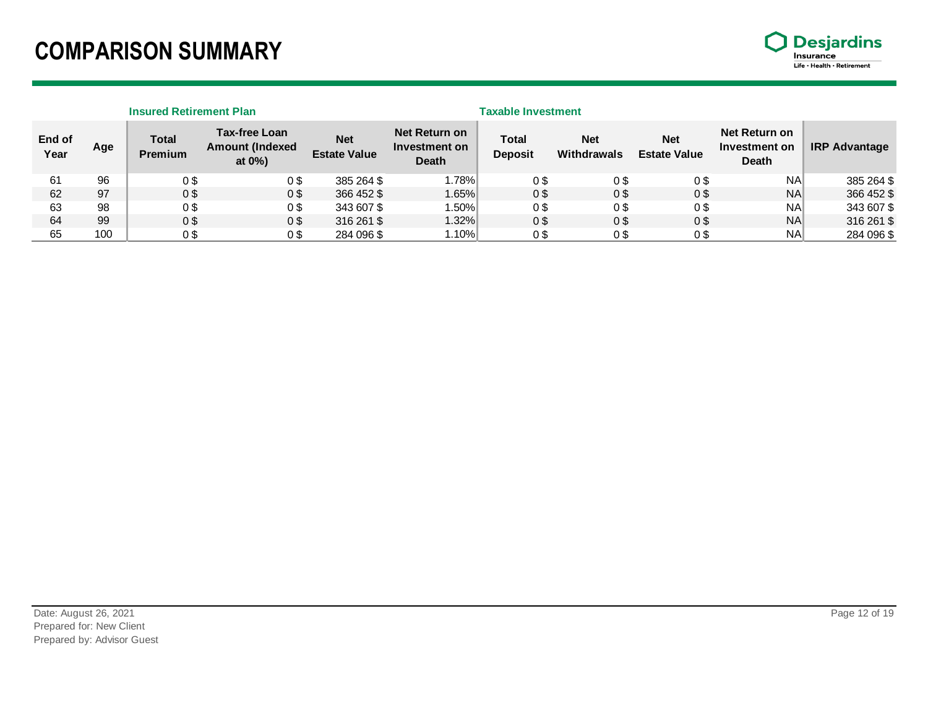### **COMPARISON SUMMARY**



|                |     | <b>Insured Retirement Plan</b> |                                                              |                                   |                                                | <b>Taxable Investment</b> |                           |                                   |                                                |                      |
|----------------|-----|--------------------------------|--------------------------------------------------------------|-----------------------------------|------------------------------------------------|---------------------------|---------------------------|-----------------------------------|------------------------------------------------|----------------------|
| End of<br>Year | Age | <b>Total</b><br><b>Premium</b> | <b>Tax-free Loan</b><br><b>Amount (Indexed</b><br>at $0\%$ ) | <b>Net</b><br><b>Estate Value</b> | Net Return on<br>Investment on<br><b>Death</b> | Total<br><b>Deposit</b>   | <b>Net</b><br>Withdrawals | <b>Net</b><br><b>Estate Value</b> | Net Return on<br>Investment on<br><b>Death</b> | <b>IRP Advantage</b> |
| 61             | 96  | 0 <sup>3</sup>                 | 0 <sup>3</sup>                                               | 385 264 \$                        | $1.78\%$                                       | 0\$                       | 0\$                       | 0 <sup>3</sup>                    | <b>NA</b>                                      | 385 264 \$           |
| 62             | 97  | 0 <sup>3</sup>                 | 0 <sup>3</sup>                                               | 366 452 \$                        | $1.65\%$                                       | 0 <sup>3</sup>            | 0 <sup>3</sup>            | 0 <sup>3</sup>                    | <b>NA</b>                                      | 366 452 \$           |
| 63             | 98  | 0\$                            | 0 <sup>3</sup>                                               | 343 607 \$                        | $1.50\%$                                       | 0\$                       | 0\$                       | 0\$                               | <b>NA</b>                                      | 343 607 \$           |
| 64             | 99  | 0 <sup>3</sup>                 | 0 <sup>3</sup>                                               | 316 261 \$                        | 1.32%                                          | 0 <sup>3</sup>            | 0S                        | 0 <sup>3</sup>                    | <b>NA</b>                                      | 316 261 \$           |
| 65             | 100 | 0\$                            | 0 <sup>3</sup>                                               | 284 096 \$                        | 1.10%                                          | 0\$                       | 0\$                       | 0\$                               | <b>NA</b>                                      | 284 096 \$           |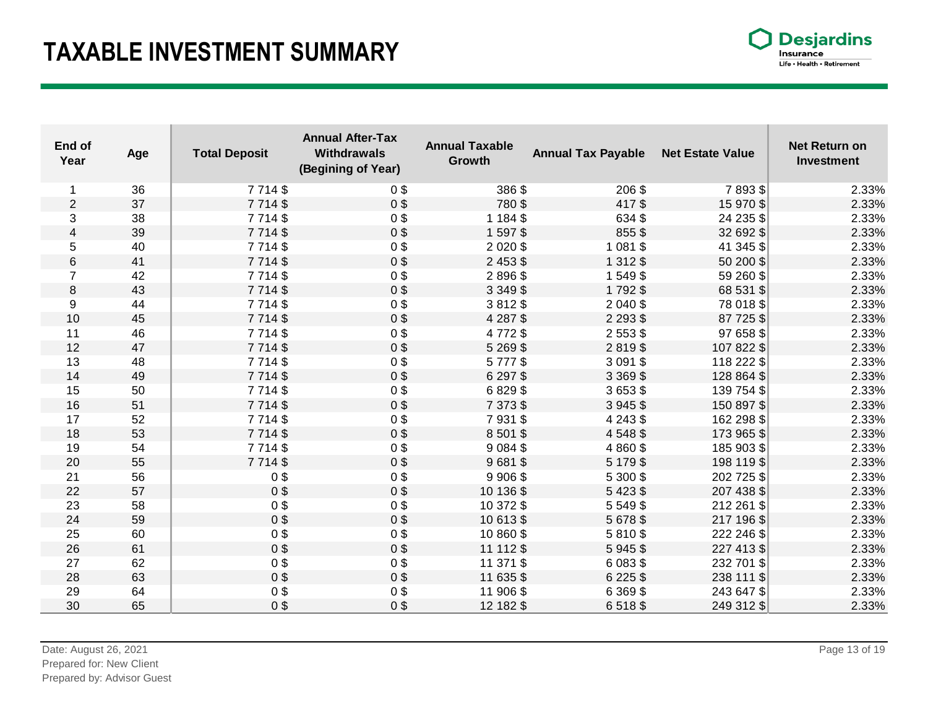## **TAXABLE INVESTMENT SUMMARY**

| <b>Desjardins</b>          |
|----------------------------|
| Insurance                  |
| Life • Health • Retirement |

| End of<br>Year | Age | <b>Total Deposit</b> | <b>Annual After-Tax</b><br><b>Withdrawals</b><br>(Begining of Year) | <b>Annual Taxable</b><br>Growth | <b>Annual Tax Payable</b> | <b>Net Estate Value</b> | <b>Net Return on</b><br>Investment |
|----------------|-----|----------------------|---------------------------------------------------------------------|---------------------------------|---------------------------|-------------------------|------------------------------------|
| 1              | 36  | 7714\$               | 0 <sup>3</sup>                                                      | 386\$                           | 206\$                     | 7893\$                  | 2.33%                              |
| 2              | 37  | 7714\$               | 0 <sup>3</sup>                                                      | 780\$                           | 417\$                     | 15 970 \$               | 2.33%                              |
| 3              | 38  | 7714\$               | 0 <sup>9</sup>                                                      | 1 184 \$                        | 634 \$                    | 24 235 \$               | 2.33%                              |
| $\overline{4}$ | 39  | 7714\$               | 0 <sup>9</sup>                                                      | 1 597 \$                        | 855\$                     | 32 692 \$               | 2.33%                              |
| 5              | 40  | 7 7 1 4 \$           | 0 <sup>9</sup>                                                      | 2 0 2 0 \$                      | 1 0 8 1 \$                | 41 345 \$               | 2.33%                              |
| 6              | 41  | 7714\$               | 0 <sup>9</sup>                                                      | 2 4 5 3 \$                      | 1 3 1 2 \$                | 50 200 \$               | 2.33%                              |
| $\overline{7}$ | 42  | 7714\$               | 0 <sup>9</sup>                                                      | 2896\$                          | 1549\$                    | 59 260 \$               | 2.33%                              |
| 8              | 43  | 7714\$               | 0 <sup>9</sup>                                                      | 3 3 4 9 \$                      | 1792\$                    | 68 531 \$               | 2.33%                              |
| 9              | 44  | 7714\$               | 0 <sup>9</sup>                                                      | 3812\$                          | 2 040 \$                  | 78 018 \$               | 2.33%                              |
| 10             | 45  | 7 7 1 4 \$           | 0 <sup>3</sup>                                                      | 4 287 \$                        | 2 2 9 3 \$                | 87 725 \$               | 2.33%                              |
| 11             | 46  | 7714\$               | 0 <sup>9</sup>                                                      | 4772\$                          | 2 5 5 3 \$                | 97 658 \$               | 2.33%                              |
| 12             | 47  | 7714\$               | 0 <sup>3</sup>                                                      | 5 2 6 9 \$                      | 2819\$                    | 107 822 \$              | 2.33%                              |
| 13             | 48  | 7714\$               | $0$ \$                                                              | 5777\$                          | 3 0 9 1 \$                | 118 222 \$              | 2.33%                              |
| 14             | 49  | 7714\$               | 0 <sup>9</sup>                                                      | 6 297 \$                        | 3 3 6 9 \$                | 128 864 \$              | 2.33%                              |
| 15             | 50  | 7714\$               | $0$ \$                                                              | 6829\$                          | 3653\$                    | 139 754 \$              | 2.33%                              |
| 16             | 51  | 7 7 1 4 \$           | 0 <sup>9</sup>                                                      | 7 373 \$                        | 3945\$                    | 150 897 \$              | 2.33%                              |
| 17             | 52  | 7714\$               | $0$ \$                                                              | 7931\$                          | 4 2 4 3 \$                | 162 298 \$              | 2.33%                              |
| 18             | 53  | 7714\$               | 0 <sup>9</sup>                                                      | 8 501 \$                        | 4548\$                    | 173 965 \$              | 2.33%                              |
| 19             | 54  | 7714\$               | 0 <sup>9</sup>                                                      | 9 0 8 4 \$                      | 4 8 6 0 \$                | 185 903 \$              | 2.33%                              |
| 20             | 55  | 7714\$               | 0 <sup>9</sup>                                                      | 9681\$                          | 5 1 7 9 \$                | 198 119 \$              | 2.33%                              |
| 21             | 56  | 0 <sup>9</sup>       | 0 <sup>9</sup>                                                      | 9 906 \$                        | 5 300 \$                  | 202 725 \$              | 2.33%                              |
| 22             | 57  | 0 <sup>9</sup>       | 0\$                                                                 | 10 136 \$                       | 5423\$                    | 207 438 \$              | 2.33%                              |
| 23             | 58  | 0 <sup>9</sup>       | 0 <sup>9</sup>                                                      | 10 372 \$                       | 5 5 4 9 \$                | 212 261 \$              | 2.33%                              |
| 24             | 59  | 0 <sup>9</sup>       | 0 <sup>3</sup>                                                      | 10 613 \$                       | 5 678 \$                  | 217 196 \$              | 2.33%                              |
| 25             | 60  | 0 <sup>9</sup>       | 0 <sup>9</sup>                                                      | 10 860 \$                       | 5810\$                    | 222 246 \$              | 2.33%                              |
| 26             | 61  | 0 <sup>9</sup>       | $0$ \$                                                              | 11 112 \$                       | 5945\$                    | 227 413 \$              | 2.33%                              |
| 27             | 62  | 0 <sup>9</sup>       | 0 <sup>9</sup>                                                      | 11 371 \$                       | 6 0 8 3 \$                | 232 701 \$              | 2.33%                              |
| 28             | 63  | 0 <sup>3</sup>       | 0 <sup>9</sup>                                                      | 11 635 \$                       | 6 2 2 5 \$                | 238 111 \$              | 2.33%                              |
| 29             | 64  | 0 <sup>9</sup>       | 0 <sup>9</sup>                                                      | 11 906 \$                       | 6 3 6 9 \$                | 243 647 \$              | 2.33%                              |
| 30             | 65  | 0 <sup>3</sup>       | 0 <sup>3</sup>                                                      | 12 182 \$                       | 6518\$                    | 249 312 \$              | 2.33%                              |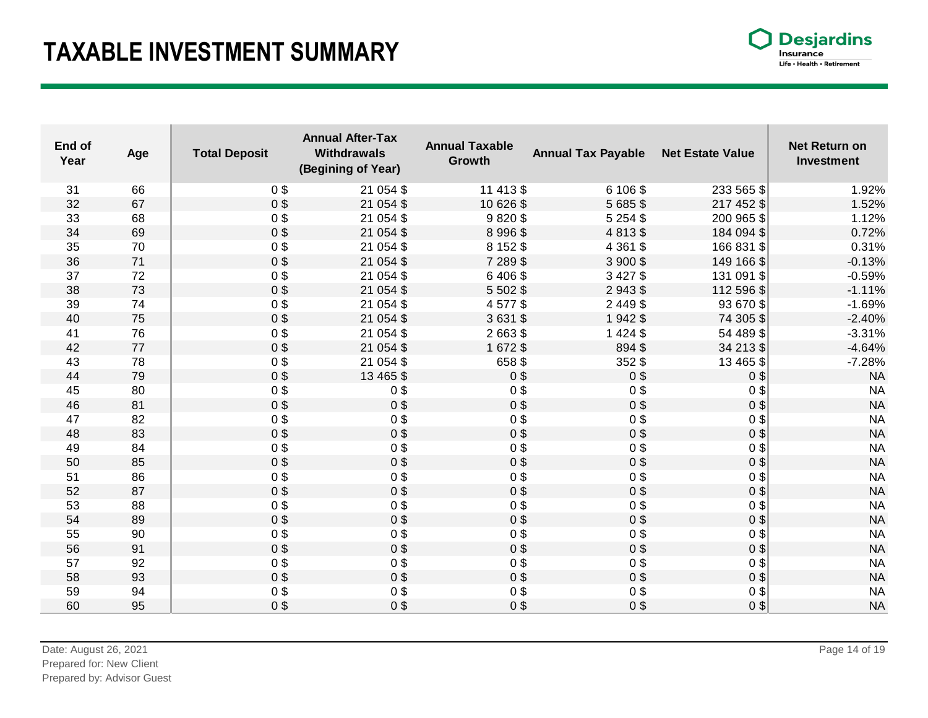## **TAXABLE INVESTMENT SUMMARY**

| <b>Desjardins</b>          |  |  |  |  |
|----------------------------|--|--|--|--|
| Insurance                  |  |  |  |  |
| Life • Health • Retirement |  |  |  |  |

| End of<br>Year | Age | <b>Total Deposit</b> | <b>Annual After-Tax</b><br><b>Withdrawals</b><br>(Begining of Year) | <b>Annual Taxable</b><br>Growth | <b>Annual Tax Payable</b> | <b>Net Estate Value</b> | <b>Net Return on</b><br><b>Investment</b> |
|----------------|-----|----------------------|---------------------------------------------------------------------|---------------------------------|---------------------------|-------------------------|-------------------------------------------|
| 31             | 66  | 0 <sup>3</sup>       | 21 054 \$                                                           | 11 413 \$                       | 6 106 \$                  | 233 565 \$              | 1.92%                                     |
| 32             | 67  | 0 <sup>3</sup>       | 21 054 \$                                                           | 10 626 \$                       | 5 685 \$                  | 217 452 \$              | 1.52%                                     |
| 33             | 68  | 0 <sup>9</sup>       | 21 054 \$                                                           | 9820\$                          | 5 2 5 4 \$                | 200 965 \$              | 1.12%                                     |
| 34             | 69  | 0 <sup>9</sup>       | 21 054 \$                                                           | 8 996 \$                        | 4813\$                    | 184 094 \$              | 0.72%                                     |
| 35             | 70  | 0 <sup>9</sup>       | 21 054 \$                                                           | 8 1 5 2 \$                      | 4 3 6 1 \$                | 166 831 \$              | 0.31%                                     |
| 36             | 71  | 0 <sup>3</sup>       | 21 054 \$                                                           | 7 289 \$                        | 3 900 \$                  | 149 166 \$              | $-0.13%$                                  |
| 37             | 72  | $0$ \$               | 21 054 \$                                                           | 6 40 6 \$                       | 3 4 2 7 \$                | 131 091 \$              | $-0.59%$                                  |
| 38             | 73  | $0$ \$               | 21 054 \$                                                           | 5 502 \$                        | 2943\$                    | 112 596 \$              | $-1.11%$                                  |
| 39             | 74  | 0 <sup>9</sup>       | 21 054 \$                                                           | 4577\$                          | 2 4 4 9 \$                | 93 670 \$               | $-1.69%$                                  |
| 40             | 75  | 0 <sup>3</sup>       | 21 054 \$                                                           | 3631\$                          | 1942\$                    | 74 305 \$               | $-2.40%$                                  |
| 41             | 76  | $0$ \$               | 21 054 \$                                                           | 2663\$                          | 1 4 2 4 \$                | 54 489 \$               | $-3.31%$                                  |
| 42             | 77  | 0 <sup>9</sup>       | 21 054 \$                                                           | 1672\$                          | 894\$                     | 34 213 \$               | $-4.64%$                                  |
| 43             | 78  | 0 <sup>3</sup>       | 21 054 \$                                                           | 658 \$                          | 352 \$                    | 13 4 65 \$              | $-7.28%$                                  |
| 44             | 79  | 0 <sup>9</sup>       | 13 4 65 \$                                                          | $0$ \$                          | 0 <sup>3</sup>            | 0 <sup>3</sup>          | <b>NA</b>                                 |
| 45             | 80  | $0$ \$               | $0$ \$                                                              | $0$ \$                          | $0$ \$                    | 0 <sup>3</sup>          | <b>NA</b>                                 |
| 46             | 81  | 0 <sup>9</sup>       | 0\$                                                                 | $0$ \$                          | 0 <sup>3</sup>            | 0 <sup>3</sup>          | $\sf NA$                                  |
| 47             | 82  | $0$ \$               | $0$ \$                                                              | 0 <sup>9</sup>                  | 0 <sup>3</sup>            | 0 <sup>3</sup>          | <b>NA</b>                                 |
| 48             | 83  | 0 <sup>9</sup>       | $0$ \$                                                              | $0$ \$                          | 0 <sup>9</sup>            | 0 <sup>3</sup>          | $\sf NA$                                  |
| 49             | 84  | 0 <sup>3</sup>       | $0$ \$                                                              | 0\$                             | $0$ \$                    | 0 <sup>3</sup>          | <b>NA</b>                                 |
| 50             | 85  | 0 <sup>9</sup>       | $0$ \$                                                              | $0$ \$                          | 0 <sup>3</sup>            | 0 <sup>3</sup>          | $\sf NA$                                  |
| 51             | 86  | 0 <sup>9</sup>       | $0$ \$                                                              | $0$ \$                          | 0 <sup>3</sup>            | 0 <sup>3</sup>          | <b>NA</b>                                 |
| 52             | 87  | $0$ \$               | 0\$                                                                 | $0$ \$                          | 0 <sup>9</sup>            | 0 <sup>5</sup>          | <b>NA</b>                                 |
| 53             | 88  | $0$ \$               | $0$ \$                                                              | $0$ \$                          | 0 <sup>9</sup>            | 0 <sup>3</sup>          | <b>NA</b>                                 |
| 54             | 89  | 0 <sup>9</sup>       | $0$ \$                                                              | $0$ \$                          | 0 <sup>9</sup>            | 0 <sup>3</sup>          | <b>NA</b>                                 |
| 55             | 90  | $0$ \$               | $0$ \$                                                              | 0 <sup>3</sup>                  | $0$ \$                    | 0 <sup>3</sup>          | <b>NA</b>                                 |
| 56             | 91  | 0 <sup>9</sup>       | 0 <sup>9</sup>                                                      | $0$ \$                          | 0 <sup>9</sup>            | 0 <sup>3</sup>          | <b>NA</b>                                 |
| 57             | 92  | 0\$                  | $0$ \$                                                              | $0$ \$                          | 0\$                       | 0 <sup>3</sup>          | <b>NA</b>                                 |
| 58             | 93  | 0 <sup>9</sup>       | $0$ \$                                                              | $0$ \$                          | 0 <sup>3</sup>            | 0 <sup>3</sup>          | <b>NA</b>                                 |
| 59             | 94  | $0$ \$               | $0$ \$                                                              | $0$ \$                          | 0 <sup>9</sup>            | 0 <sup>5</sup>          | <b>NA</b>                                 |
| 60             | 95  | 0 <sup>3</sup>       | 0 <sup>9</sup>                                                      | 0 <sup>3</sup>                  | 0 <sup>3</sup>            | 0 <sup>3</sup>          | <b>NA</b>                                 |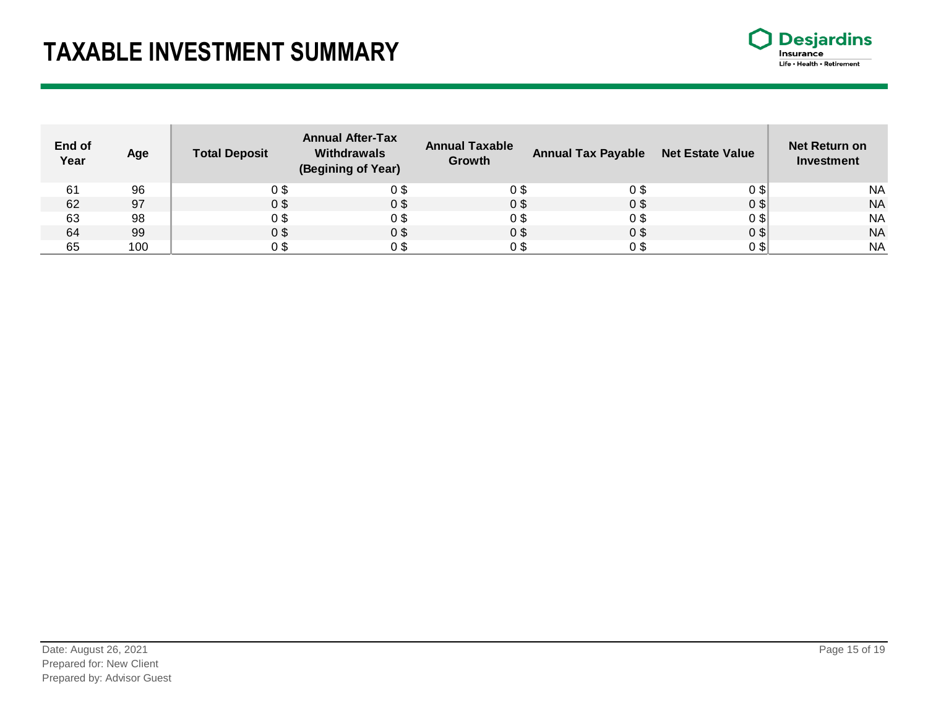## **TAXABLE INVESTMENT SUMMARY**



| End of<br>Year | Age | <b>Total Deposit</b> | <b>Annual After-Tax</b><br><b>Withdrawals</b><br>(Begining of Year) | <b>Annual Taxable</b><br>Growth | <b>Annual Tax Payable</b> | <b>Net Estate Value</b> | <b>Net Return on</b><br><b>Investment</b> |
|----------------|-----|----------------------|---------------------------------------------------------------------|---------------------------------|---------------------------|-------------------------|-------------------------------------------|
| 61             | 96  | 0 S                  |                                                                     | 0 S                             | 09                        | 0\$                     | <b>NA</b>                                 |
| 62             | 97  | 0\$                  | 0 \$                                                                | 0 <sup>3</sup>                  | 0 <sup>3</sup>            | 0 <sup>3</sup>          | <b>NA</b>                                 |
| 63             | 98  | 0 S                  |                                                                     | 0 \$                            | 09                        | 0\$                     | <b>NA</b>                                 |
| 64             | 99  | 0 <sup>3</sup>       | 0 S                                                                 | 0 <sup>3</sup>                  | 0 <sup>9</sup>            | 0 <sup>3</sup>          | <b>NA</b>                                 |
| 65             | 100 |                      |                                                                     | 0 S                             | 0 S                       | 0\$                     | <b>NA</b>                                 |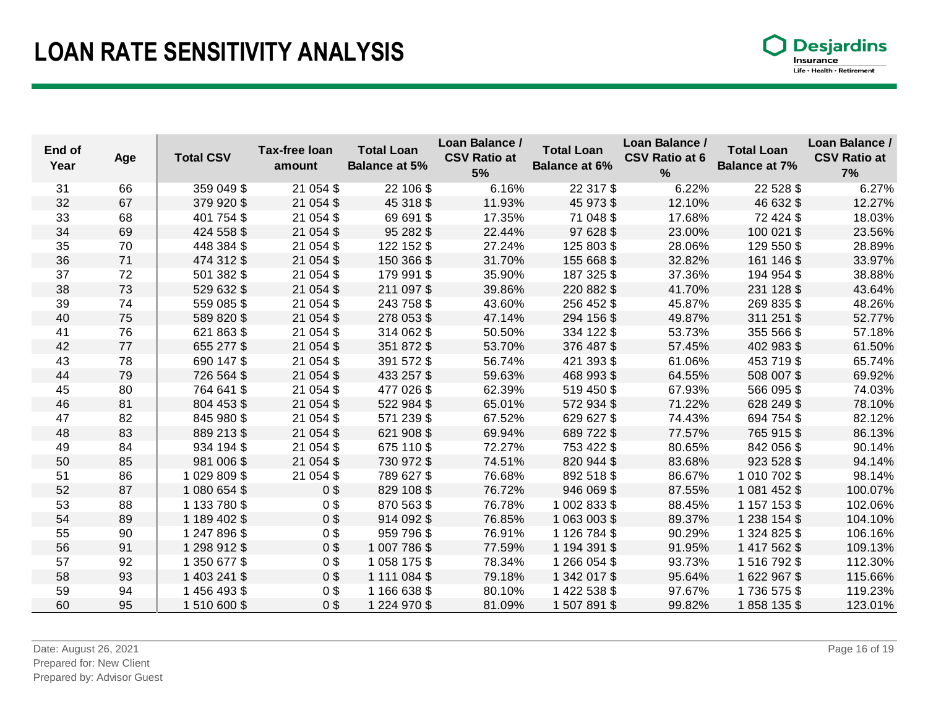## **LOAN RATE SENSITIVITY ANALYSIS**

| End of<br>Year | Age | <b>Total CSV</b> | <b>Tax-free loan</b><br>amount | <b>Total Loan</b><br><b>Balance at 5%</b> | Loan Balance /<br><b>CSV Ratio at</b><br>5% | <b>Total Loan</b><br><b>Balance at 6%</b> | Loan Balance /<br><b>CSV Ratio at 6</b><br>% | <b>Total Loan</b><br><b>Balance at 7%</b> | Loan Balance /<br><b>CSV Ratio at</b><br>7% |
|----------------|-----|------------------|--------------------------------|-------------------------------------------|---------------------------------------------|-------------------------------------------|----------------------------------------------|-------------------------------------------|---------------------------------------------|
| 31             | 66  | 359 049 \$       | 21 054 \$                      | 22 106 \$                                 | 6.16%                                       | 22 317 \$                                 | 6.22%                                        | 22 5 28 \$                                | 6.27%                                       |
| 32             | 67  | 379 920 \$       | 21 054 \$                      | 45 318 \$                                 | 11.93%                                      | 45 973 \$                                 | 12.10%                                       | 46 632 \$                                 | 12.27%                                      |
| 33             | 68  | 401 754 \$       | 21 054 \$                      | 69 691 \$                                 | 17.35%                                      | 71 048 \$                                 | 17.68%                                       | 72 424 \$                                 | 18.03%                                      |
| 34             | 69  | 424 558 \$       | 21 054 \$                      | 95 282 \$                                 | 22.44%                                      | 97 628 \$                                 | 23.00%                                       | 100 021 \$                                | 23.56%                                      |
| 35             | 70  | 448 384 \$       | 21 054 \$                      | 122 152 \$                                | 27.24%                                      | 125 803 \$                                | 28.06%                                       | 129 550 \$                                | 28.89%                                      |
| 36             | 71  | 474 312 \$       | 21 054 \$                      | 150 366 \$                                | 31.70%                                      | 155 668 \$                                | 32.82%                                       | 161 146 \$                                | 33.97%                                      |
| 37             | 72  | 501 382 \$       | 21 054 \$                      | 179 991 \$                                | 35.90%                                      | 187 325 \$                                | 37.36%                                       | 194 954 \$                                | 38.88%                                      |
| 38             | 73  | 529 632 \$       | 21 054 \$                      | 211 097 \$                                | 39.86%                                      | 220 882 \$                                | 41.70%                                       | 231 128 \$                                | 43.64%                                      |
| 39             | 74  | 559 085 \$       | 21 054 \$                      | 243 758 \$                                | 43.60%                                      | 256 452 \$                                | 45.87%                                       | 269 835 \$                                | 48.26%                                      |
| 40             | 75  | 589 820 \$       | 21 054 \$                      | 278 053 \$                                | 47.14%                                      | 294 156 \$                                | 49.87%                                       | 311 251 \$                                | 52.77%                                      |
| 41             | 76  | 621 863 \$       | 21 054 \$                      | 314 062 \$                                | 50.50%                                      | 334 122 \$                                | 53.73%                                       | 355 566 \$                                | 57.18%                                      |
| 42             | 77  | 655 277 \$       | 21 054 \$                      | 351 872 \$                                | 53.70%                                      | 376 487 \$                                | 57.45%                                       | 402 983 \$                                | 61.50%                                      |
| 43             | 78  | 690 147 \$       | 21 054 \$                      | 391 572 \$                                | 56.74%                                      | 421 393 \$                                | 61.06%                                       | 453 719 \$                                | 65.74%                                      |
| 44             | 79  | 726 564 \$       | 21 054 \$                      | 433 257 \$                                | 59.63%                                      | 468 993 \$                                | 64.55%                                       | 508 007 \$                                | 69.92%                                      |
| 45             | 80  | 764 641 \$       | 21 054 \$                      | 477 026 \$                                | 62.39%                                      | 519 450 \$                                | 67.93%                                       | 566 095 \$                                | 74.03%                                      |
| 46             | 81  | 804 453 \$       | 21 054 \$                      | 522 984 \$                                | 65.01%                                      | 572 934 \$                                | 71.22%                                       | 628 249 \$                                | 78.10%                                      |
| 47             | 82  | 845 980 \$       | 21 054 \$                      | 571 239 \$                                | 67.52%                                      | 629 627 \$                                | 74.43%                                       | 694 754 \$                                | 82.12%                                      |
| 48             | 83  | 889 213 \$       | 21 054 \$                      | 621 908 \$                                | 69.94%                                      | 689 722 \$                                | 77.57%                                       | 765 915 \$                                | 86.13%                                      |
| 49             | 84  | 934 194 \$       | 21 054 \$                      | 675 110 \$                                | 72.27%                                      | 753 422 \$                                | 80.65%                                       | 842 056 \$                                | 90.14%                                      |
| 50             | 85  | 981 006 \$       | 21 054 \$                      | 730 972 \$                                | 74.51%                                      | 820 944 \$                                | 83.68%                                       | 923 528 \$                                | 94.14%                                      |
| 51             | 86  | 1029809\$        | 21 054 \$                      | 789 627 \$                                | 76.68%                                      | 892 518 \$                                | 86.67%                                       | 1 010 702 \$                              | 98.14%                                      |
| 52             | 87  | 1 080 654 \$     | 0 <sup>3</sup>                 | 829 108 \$                                | 76.72%                                      | 946 069 \$                                | 87.55%                                       | 1 081 452 \$                              | 100.07%                                     |
| 53             | 88  | 1 133 780 \$     | 0 <sup>3</sup>                 | 870 563 \$                                | 76.78%                                      | 1 002 833 \$                              | 88.45%                                       | 1 157 153 \$                              | 102.06%                                     |
| 54             | 89  | 1 189 402 \$     | 0 <sup>3</sup>                 | 914 092 \$                                | 76.85%                                      | 1 063 003 \$                              | 89.37%                                       | 1 238 154 \$                              | 104.10%                                     |
| 55             | 90  | 1 247 896 \$     | 0 <sup>3</sup>                 | 959 796 \$                                | 76.91%                                      | 1 126 784 \$                              | 90.29%                                       | 1 324 825 \$                              | 106.16%                                     |
| 56             | 91  | 1 298 912 \$     | 0 <sup>3</sup>                 | 1 007 786 \$                              | 77.59%                                      | 1 194 391 \$                              | 91.95%                                       | 1 417 562 \$                              | 109.13%                                     |
| 57             | 92  | 1 350 677 \$     | $0$ \$                         | 1 058 175 \$                              | 78.34%                                      | 1 266 054 \$                              | 93.73%                                       | 1516792\$                                 | 112.30%                                     |
| 58             | 93  | 1 403 241 \$     | 0 <sup>3</sup>                 | 1 111 084 \$                              | 79.18%                                      | 1 342 017 \$                              | 95.64%                                       | 1622967\$                                 | 115.66%                                     |
| 59             | 94  | 1456493\$        | 0 <sup>3</sup>                 | 1 166 638 \$                              | 80.10%                                      | 1 422 538 \$                              | 97.67%                                       | 1736 575 \$                               | 119.23%                                     |
| 60             | 95  | 1510600\$        | 0 <sup>3</sup>                 | 1 224 970 \$                              | 81.09%                                      | 1507891\$                                 | 99.82%                                       | 1858 135 \$                               | 123.01%                                     |

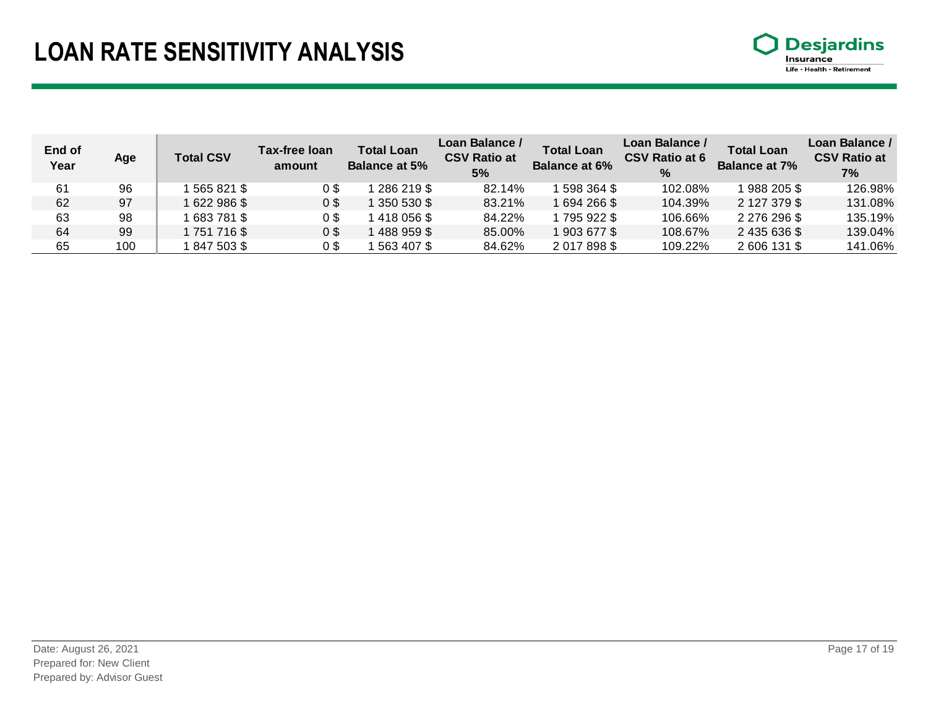## **LOAN RATE SENSITIVITY ANALYSIS**



| End of<br>Year | Age | <b>Total CSV</b> | <b>Tax-free loan</b><br>amount | <b>Total Loan</b><br><b>Balance at 5%</b> | Loan Balance /<br><b>CSV Ratio at</b><br>5% | <b>Total Loan</b><br><b>Balance at 6%</b> | Loan Balance /<br><b>CSV Ratio at 6</b><br>$\frac{9}{6}$ | <b>Total Loan</b><br><b>Balance at 7%</b> | Loan Balance /<br><b>CSV Ratio at</b><br>7% |
|----------------|-----|------------------|--------------------------------|-------------------------------------------|---------------------------------------------|-------------------------------------------|----------------------------------------------------------|-------------------------------------------|---------------------------------------------|
| 61             | 96  | 565 821 \$       | 0\$                            | 286 219 \$                                | 82.14%                                      | 598 364 \$                                | 102.08%                                                  | 988 205 \$                                | 126.98%                                     |
| 62             | 97  | 622 986 \$       | 0\$                            | 350 530 \$                                | 83.21%                                      | 1 694 266 \$                              | 104.39%                                                  | 2 127 379 \$                              | 131.08%                                     |
| 63             | 98  | 683 781 \$       | 0\$                            | 418 056 \$                                | 84.22%                                      | 795 922 \$                                | 106.66%                                                  | 2 276 296 \$                              | 135.19%                                     |
| 64             | 99  | 1751716\$        | 0 <sup>3</sup>                 | 488 959 \$                                | 85.00%                                      | 1903677\$                                 | 108.67%                                                  | 2 435 636 \$                              | 139.04%                                     |
| 65             | 100 | 847 503 \$       | 0\$                            | 563 407 \$                                | 84.62%                                      | 2017898\$                                 | 109.22%                                                  | 2 606 131 \$                              | 141.06%                                     |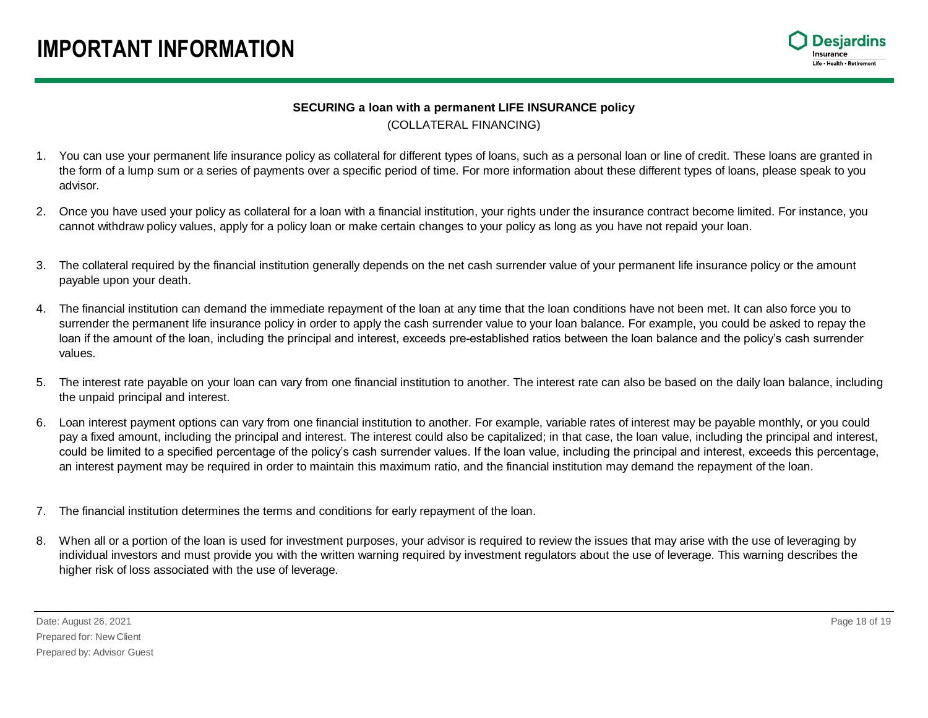### **IMPORTANT INFORMATION**



### **SECURING a loan with a permanent LIFE INSURANCE policy** (COLLATERAL FINANCING)

- 1. You can use your permanent life insurance policy as collateral for different types of loans, such as a personal loan or line of credit. These loans are granted in the form of a lump sum or a series of payments over a specific period of time. For more information about these different types of loans, please speak to you advisor.
- 2. Once you have used your policy as collateral for a loan with a financial institution, your rights under the insurance contract become limited. For instance, you cannot withdraw policy values, apply for a policy loan or make certain changes to your policy as long as you have not repaid your loan.
- 3. The collateral required by the financial institution generally depends on the net cash surrender value of your permanent life insurance policy or the amount payable upon your death.
- 4. The financial institution can demand the immediate repayment of the loan at any time that the loan conditions have not been met. It can also force you to surrender the permanent life insurance policy in order to apply the cash surrender value to your loan balance. For example, you could be asked to repay the loan if the amount of the loan, including the principal and interest, exceeds pre-established ratios between the loan balance and the policy's cash surrender values.
- 5. The interest rate payable on your loan can vary from one financial institution to another. The interest rate can also be based on the daily loan balance, including the unpaid principal and interest.
- 6. Loan interest payment options can vary from one financial institution to another. For example, variable rates of interest may be payable monthly, or you could pay a fixed amount, including the principal and interest. The interest could also be capitalized; in that case, the loan value, including the principal and interest, could be limited to a specified percentage of the policy's cash surrender values. If the loan value, including the principal and interest, exceeds this percentage, an interest payment may be required in order to maintain this maximum ratio, and the financial institution may demand the repayment of the loan.
- 7. The financial institution determines the terms and conditions for early repayment of the loan.
- 8. When all or a portion of the loan is used for investment purposes, your advisor is required to review the issues that may arise with the use of leveraging by individual investors and must provide you with the written warning required by investment regulators about the use of leverage. This warning describes the higher risk of loss associated with the use of leverage.